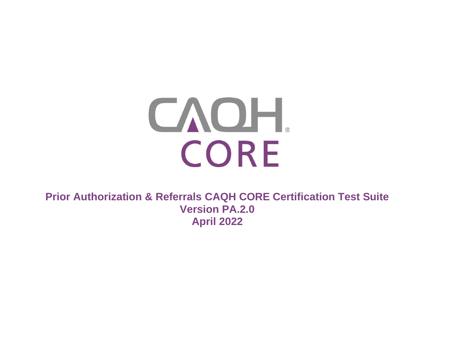# CAOH. CORE

**Prior Authorization & Referrals CAQH CORE Certification Test Suite Version PA.2.0 April 2022**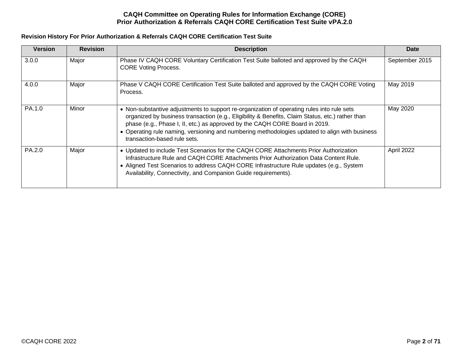# **Revision History For Prior Authorization & Referrals CAQH CORE Certification Test Suite**

| <b>Version</b> | <b>Revision</b> | <b>Description</b>                                                                                                                                                                                                                                                                                                                                                                                              | Date           |
|----------------|-----------------|-----------------------------------------------------------------------------------------------------------------------------------------------------------------------------------------------------------------------------------------------------------------------------------------------------------------------------------------------------------------------------------------------------------------|----------------|
| 3.0.0          | Major           | Phase IV CAQH CORE Voluntary Certification Test Suite balloted and approved by the CAQH<br><b>CORE Voting Process.</b>                                                                                                                                                                                                                                                                                          | September 2015 |
| 4.0.0          | Major           | Phase V CAQH CORE Certification Test Suite balloted and approved by the CAQH CORE Voting<br>Process.                                                                                                                                                                                                                                                                                                            | May 2019       |
| PA.1.0         | Minor           | • Non-substantive adjustments to support re-organization of operating rules into rule sets<br>organized by business transaction (e.g., Eligibility & Benefits, Claim Status, etc.) rather than<br>phase (e.g., Phase I, II, etc.) as approved by the CAQH CORE Board in 2019.<br>• Operating rule naming, versioning and numbering methodologies updated to align with business<br>transaction-based rule sets. | May 2020       |
| PA.2.0         | Major           | • Updated to include Test Scenarios for the CAQH CORE Attachments Prior Authorization<br>Infrastructure Rule and CAQH CORE Attachments Prior Authorization Data Content Rule.<br>• Aligned Test Scenarios to address CAQH CORE Infrastructure Rule updates (e.g., System<br>Availability, Connectivity, and Companion Guide requirements).                                                                      | April 2022     |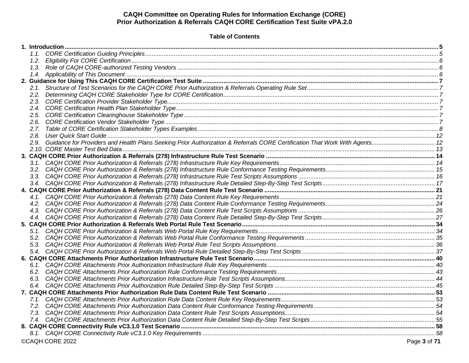# **Table of Contents**

|  | ©CAQH CORE 2022 | Page 3 of 71 |
|--|-----------------|--------------|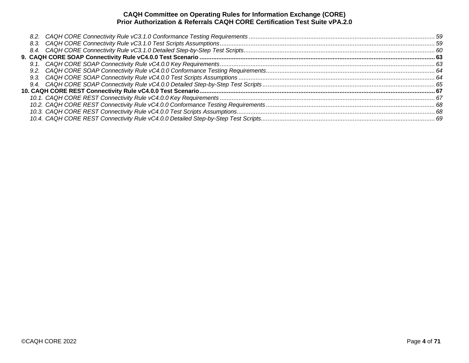| 8.3. |  |
|------|--|
|      |  |
|      |  |
|      |  |
|      |  |
|      |  |
|      |  |
|      |  |
|      |  |
|      |  |
|      |  |
|      |  |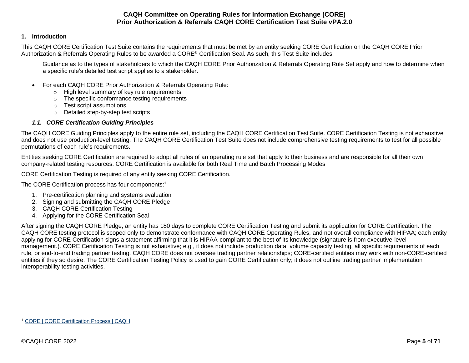## <span id="page-4-0"></span>**1. Introduction**

This CAQH CORE Certification Test Suite contains the requirements that must be met by an entity seeking CORE Certification on the CAQH CORE Prior Authorization & Referrals Operating Rules to be awarded a CORE® Certification Seal. As such, this Test Suite includes:

Guidance as to the types of stakeholders to which the CAQH CORE Prior Authorization & Referrals Operating Rule Set apply and how to determine when a specific rule's detailed test script applies to a stakeholder.

- For each CAQH CORE Prior Authorization & Referrals Operating Rule:
	- o High level summary of key rule requirements
	- o The specific conformance testing requirements
	- o Test script assumptions
	- o Detailed step-by-step test scripts

# <span id="page-4-1"></span>*1.1. CORE Certification Guiding Principles*

The CAQH CORE Guiding Principles apply to the entire rule set, including the CAQH CORE Certification Test Suite. CORE Certification Testing is not exhaustive and does not use production-level testing. The CAQH CORE Certification Test Suite does not include comprehensive testing requirements to test for all possible permutations of each rule's requirements.

Entities seeking CORE Certification are required to adopt all rules of an operating rule set that apply to their business and are responsible for all their own company-related testing resources. CORE Certification is available for both Real Time and Batch Processing Modes

CORE Certification Testing is required of any entity seeking CORE Certification.

The CORE Certification process has four components:<sup>1</sup>

- 1. Pre-certification planning and systems evaluation
- 2. Signing and submitting the CAQH CORE Pledge
- 3. CAQH CORE Certification Testing
- 4. Applying for the CORE Certification Seal

After signing the CAQH CORE Pledge, an entity has 180 days to complete CORE Certification Testing and submit its application for CORE Certification. The CAQH CORE testing protocol is scoped only to demonstrate conformance with CAQH CORE Operating Rules, and not overall compliance with HIPAA; each entity applying for CORE Certification signs a statement affirming that it is HIPAA-compliant to the best of its knowledge (signature is from executive-level management.). CORE Certification Testing is not exhaustive; e.g., it does not include production data, volume capacity testing, all specific requirements of each rule, or end-to-end trading partner testing. CAQH CORE does not oversee trading partner relationships; CORE-certified entities may work with non-CORE-certified entities if they so desire. The CORE Certification Testing Policy is used to gain CORE Certification only; it does not outline trading partner implementation interoperability testing activities.

<sup>1</sup> [CORE | CORE Certification Process | CAQH](https://www.caqh.org/core/core-certification-process)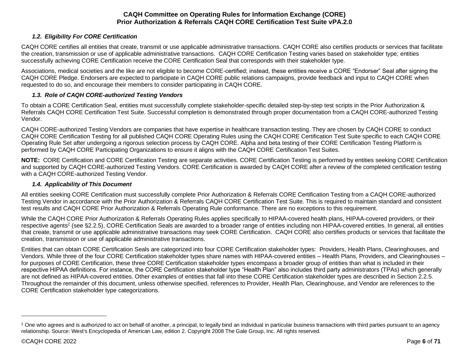# *1.2. Eligibility For CORE Certification*

<span id="page-5-0"></span>CAQH CORE certifies all entities that create, transmit or use applicable administrative transactions. CAQH CORE also certifies products or services that facilitate the creation, transmission or use of applicable administrative transactions. CAQH CORE Certification Testing varies based on stakeholder type; entities successfully achieving CORE Certification receive the CORE Certification Seal that corresponds with their stakeholder type.

Associations, medical societies and the like are not eligible to become CORE-certified; instead, these entities receive a CORE "Endorser" Seal after signing the CAQH CORE Pledge. Endorsers are expected to participate in CAQH CORE public relations campaigns, provide feedback and input to CAQH CORE when requested to do so, and encourage their members to consider participating in CAQH CORE.

## *1.3. Role of CAQH CORE-authorized Testing Vendors*

<span id="page-5-1"></span>To obtain a CORE Certification Seal, entities must successfully complete stakeholder-specific detailed step-by-step test scripts in the Prior Authorization & Referrals CAQH CORE Certification Test Suite. Successful completion is demonstrated through proper documentation from a CAQH CORE-authorized Testing Vendor.

CAQH CORE-authorized Testing Vendors are companies that have expertise in healthcare transaction testing. They are chosen by CAQH CORE to conduct CAQH CORE Certification Testing for all published CAQH CORE Operating Rules using the CAQH CORE Certification Test Suite specific to each CAQH CORE Operating Rule Set after undergoing a rigorous selection process by CAQH CORE. Alpha and beta testing of their CORE Certification Testing Platform is performed by CAQH CORE Participating Organizations to ensure it aligns with the CAQH CORE Certification Test Suites.

**NOTE:** CORE Certification and CORE Certification Testing are separate activities. CORE Certification Testing is performed by entities seeking CORE Certification and supported by CAQH CORE-authorized Testing Vendors. CORE Certification is awarded by CAQH CORE after a review of the completed certification testing with a CAQH CORE-authorized Testing Vendor.

## *1.4. Applicability of This Document*

<span id="page-5-2"></span>All entities seeking CORE Certification must successfully complete Prior Authorization & Referrals CORE Certification Testing from a CAQH CORE-authorized Testing Vendor in accordance with the Prior Authorization & Referrals CAQH CORE Certification Test Suite. This is required to maintain standard and consistent test results and CAQH CORE Prior Authorization & Referrals Operating Rule conformance. There are no exceptions to this requirement.

While the CAQH CORE Prior Authorization & Referrals Operating Rules applies specifically to HIPAA-covered health plans, HIPAA-covered providers, or their respective agents<sup>2</sup> (see §2.2.5), CORE Certification Seals are awarded to a broader range of entities including non HIPAA-covered entities. In general, all entities that create, transmit or use applicable administrative transactions may seek CORE Certification. CAQH CORE also certifies products or services that facilitate the creation, transmission or use of applicable administrative transactions.

Entities that can obtain CORE Certification Seals are categorized into four CORE Certification stakeholder types: Providers, Health Plans, Clearinghouses, and Vendors. While three of the four CORE Certification stakeholder types share names with HIPAA-covered entities – Health Plans, Providers, and Clearinghouses – for purposes of CORE Certification, these three CORE Certification stakeholder types encompass a broader group of entities than what is included in their respective HIPAA definitions. For instance, the CORE Certification stakeholder type "Health Plan" also includes third party administrators (TPAs) which generally are not defined as HIPAA-covered entities. Other examples of entities that fall into these CORE Certification stakeholder types are described in Section 2.2.5. Throughout the remainder of this document, unless otherwise specified, references to Provider, Health Plan, Clearinghouse, and Vendor are references to the CORE Certification stakeholder type categorizations.

<sup>&</sup>lt;sup>2</sup> One who agrees and is authorized to act on behalf of another, a principal, to legally bind an individual in particular business transactions with third parties pursuant to an agency relationship. Source: West's Encyclopedia of American Law, edition 2. Copyright 2008 The Gale Group, Inc. All rights reserved.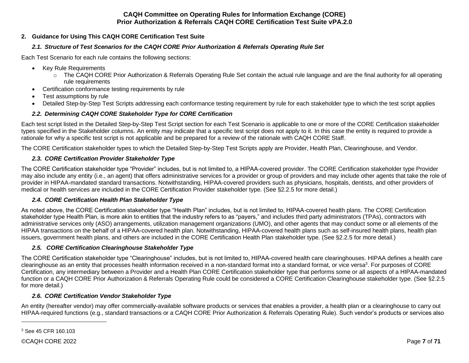## <span id="page-6-1"></span><span id="page-6-0"></span>**2. Guidance for Using This CAQH CORE Certification Test Suite**

# *2.1. Structure of Test Scenarios for the CAQH CORE Prior Authorization & Referrals Operating Rule Set*

Each Test Scenario for each rule contains the following sections:

- Key Rule Requirements
	- o The CAQH CORE Prior Authorization & Referrals Operating Rule Set contain the actual rule language and are the final authority for all operating rule requirements
- Certification conformance testing requirements by rule
- Test assumptions by rule
- Detailed Step-by-Step Test Scripts addressing each conformance testing requirement by rule for each stakeholder type to which the test script applies

# *2.2. Determining CAQH CORE Stakeholder Type for CORE Certification*

<span id="page-6-2"></span>Each test script listed in the Detailed Step-by-Step Test Script section for each Test Scenario is applicable to one or more of the CORE Certification stakeholder types specified in the Stakeholder columns. An entity may indicate that a specific test script does not apply to it. In this case the entity is required to provide a rationale for why a specific test script is not applicable and be prepared for a review of the rationale with CAQH CORE Staff.

<span id="page-6-3"></span>The CORE Certification stakeholder types to which the Detailed Step-by-Step Test Scripts apply are Provider, Health Plan, Clearinghouse, and Vendor.

# *2.3. CORE Certification Provider Stakeholder Type*

The CORE Certification stakeholder type "Provider" includes, but is not limited to, a HIPAA-covered provider. The CORE Certification stakeholder type Provider may also include any entity (i.e., an agent) that offers administrative services for a provider or group of providers and may include other agents that take the role of provider in HIPAA-mandated standard transactions. Notwithstanding, HIPAA-covered providers such as physicians, hospitals, dentists, and other providers of medical or health services are included in the CORE Certification Provider stakeholder type. (See §2.2.5 for more detail.)

# *2.4. CORE Certification Health Plan Stakeholder Type*

<span id="page-6-4"></span>As noted above, the CORE Certification stakeholder type "Health Plan" includes, but is not limited to, HIPAA-covered health plans. The CORE Certification stakeholder type Health Plan, is more akin to entities that the industry refers to as "payers," and includes third party administrators (TPAs), contractors with administrative services only (ASO) arrangements, utilization management organizations (UMO), and other agents that may conduct some or all elements of the HIPAA transactions on the behalf of a HIPAA-covered health plan. Notwithstanding, HIPAA-covered health plans such as self-insured health plans, health plan issuers, government health plans, and others are included in the CORE Certification Health Plan stakeholder type. (See §2.2.5 for more detail.)

# <span id="page-6-5"></span>*2.5. CORE Certification Clearinghouse Stakeholder Type*

The CORE Certification stakeholder type "Clearinghouse" includes, but is not limited to, HIPAA-covered health care clearinghouses. HIPAA defines a health care clearinghouse as an entity that processes health information received in a non-standard format into a standard format, or vice versa<sup>3</sup>. For purposes of CORE Certification, any intermediary between a Provider and a Health Plan CORE Certification stakeholder type that performs some or all aspects of a HIPAA-mandated function or a CAQH CORE Prior Authorization & Referrals Operating Rule could be considered a CORE Certification Clearinghouse stakeholder type. (See §2.2.5 for more detail.)

# *2.6. CORE Certification Vendor Stakeholder Type*

<span id="page-6-6"></span>An entity (hereafter vendor) may offer commercially-available software products or services that enables a provider, a health plan or a clearinghouse to carry out HIPAA-required functions (e.g., standard transactions or a CAQH CORE Prior Authorization & Referrals Operating Rule). Such vendor's products or services also

<sup>3</sup> See 45 CFR 160.103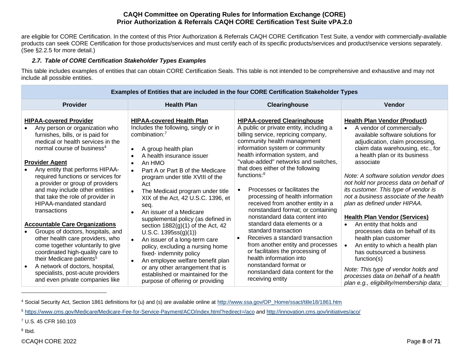are eligible for CORE Certification. In the context of this Prior Authorization & Referrals CAQH CORE Certification Test Suite, a vendor with commercially-available products can seek CORE Certification for those products/services and must certify each of its specific products/services and product/service versions separately. (See §2.2.5 for more detail.)

# *2.7. Table of CORE Certification Stakeholder Types Examples*

<span id="page-7-0"></span>This table includes examples of entities that can obtain CORE Certification Seals. This table is not intended to be comprehensive and exhaustive and may not include all possible entities.

|           |                                                                                                                                                                                                                                                                                                                                                                                                                                            | Examples of Entities that are included in the four CORE Certification Stakeholder Types                                                                                                                                                                                                                                                                                                                                             |                                                                                                                                                                                                                                                                                                                                                                                                                                                                                                                     |                                                                                                                                                                                                                                                                                                                                                                                                                                                                                      |
|-----------|--------------------------------------------------------------------------------------------------------------------------------------------------------------------------------------------------------------------------------------------------------------------------------------------------------------------------------------------------------------------------------------------------------------------------------------------|-------------------------------------------------------------------------------------------------------------------------------------------------------------------------------------------------------------------------------------------------------------------------------------------------------------------------------------------------------------------------------------------------------------------------------------|---------------------------------------------------------------------------------------------------------------------------------------------------------------------------------------------------------------------------------------------------------------------------------------------------------------------------------------------------------------------------------------------------------------------------------------------------------------------------------------------------------------------|--------------------------------------------------------------------------------------------------------------------------------------------------------------------------------------------------------------------------------------------------------------------------------------------------------------------------------------------------------------------------------------------------------------------------------------------------------------------------------------|
|           | <b>Provider</b>                                                                                                                                                                                                                                                                                                                                                                                                                            | <b>Health Plan</b>                                                                                                                                                                                                                                                                                                                                                                                                                  | Clearinghouse                                                                                                                                                                                                                                                                                                                                                                                                                                                                                                       | <b>Vendor</b>                                                                                                                                                                                                                                                                                                                                                                                                                                                                        |
|           | <b>HIPAA-covered Provider</b><br>Any person or organization who<br>furnishes, bills, or is paid for<br>medical or health services in the<br>normal course of business <sup>4</sup><br><b>Provider Agent</b><br>Any entity that performs HIPAA-<br>required functions or services for<br>a provider or group of providers<br>and may include other entities<br>that take the role of provider in<br>HIPAA-mandated standard<br>transactions | <b>HIPAA-covered Health Plan</b><br>Includes the following, singly or in<br>combination: $7$<br>A group health plan<br>$\bullet$<br>A health insurance issuer<br>An HMO<br>$\bullet$<br>Part A or Part B of the Medicare<br>$\bullet$<br>program under title XVIII of the<br>Act<br>The Medicaid program under title<br>XIX of the Act, 42 U.S.C. 1396, et<br>seg.<br>An issuer of a Medicare<br>supplemental policy (as defined in | <b>HIPAA-covered Clearinghouse</b><br>A public or private entity, including a<br>billing service, repricing company,<br>community health management<br>information system or community<br>health information system, and<br>"value-added" networks and switches,<br>that does either of the following<br>functions: $8$<br>Processes or facilitates the<br>$\bullet$<br>processing of health information<br>received from another entity in a<br>nonstandard format; or containing<br>nonstandard data content into | <b>Health Plan Vendor (Product)</b><br>A vendor of commercially-<br>$\bullet$<br>available software solutions for<br>adjudication, claim processing,<br>claim data warehousing, etc., for<br>a health plan or its business<br>associate<br>Note: A software solution vendor does<br>not hold nor process data on behalf of<br>its customer. This type of vendor is<br>not a business associate of the health<br>plan as defined under HIPAA.<br><b>Health Plan Vendor (Services)</b> |
| $\bullet$ | <b>Accountable Care Organizations</b><br>Groups of doctors, hospitals, and<br>other health care providers, who<br>come together voluntarily to give<br>coordinated high-quality care to<br>their Medicare patients <sup>5</sup><br>A network of doctors, hospital,<br>specialists, post-acute providers<br>and even private companies like                                                                                                 | section $1882(g)(1)$ of the Act, 42<br>U.S.C. 1395ss(g)(1))<br>An issuer of a long-term care<br>$\bullet$<br>policy, excluding a nursing home<br>fixed- indemnity policy<br>An employee welfare benefit plan<br>or any other arrangement that is<br>established or maintained for the<br>purpose of offering or providing                                                                                                           | standard data elements or a<br>standard transaction<br>Receives a standard transaction<br>$\bullet$<br>from another entity and processes<br>or facilitates the processing of<br>health information into<br>nonstandard format or<br>nonstandard data content for the<br>receiving entity                                                                                                                                                                                                                            | An entity that holds and<br>$\bullet$<br>processes data on behalf of its<br>health plan customer<br>An entity to which a health plan<br>has outsourced a business<br>function(s)<br>Note: This type of vendor holds and<br>processes data on behalf of a health<br>plan e.g., eligibility/membership data;                                                                                                                                                                           |

<sup>4</sup> Social Security Act, Section 1861 definitions for (u) and (s) are available online at [http://www.ssa.gov/OP\\_Home/ssact/title18/1861.htm](http://www.ssa.gov/OP_Home/ssact/title18/1861.htm) 

<sup>8</sup> Ibid.

<sup>5</sup> <https://www.cms.gov/Medicare/Medicare-Fee-for-Service-Payment/ACO/index.html?redirect=/aco> an[d http://innovation.cms.gov/initiatives/aco/](http://innovation.cms.gov/initiatives/aco/)

<sup>7</sup> U.S. 45 CFR 160.103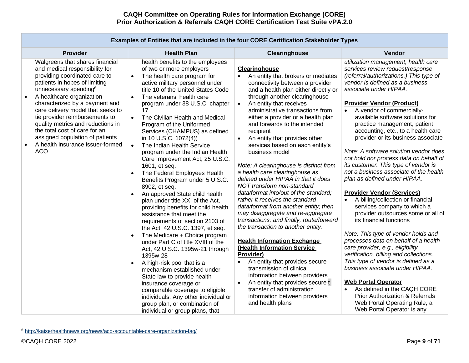| <b>Provider</b>                                                                                                                                                                                                                                                                                                                                                                                                                                                                        | <b>Health Plan</b>                                                                                                                                                                                                                                                                                                                                                                                                                                                                                                                                                                                                                                                                                                                                                                                                                                                                                                                                                                                                                                                                                                                                                                                                                                     | Clearinghouse                                                                                                                                                                                                                                                                                                                                                                                                                                                                                                                                                                                                                                                                                                                                                                                                                                                                                                                                                                                                                                                                                                                                       | Vendor                                                                                                                                                                                                                                                                                                                                                                                                                                                                                                                                                                                                                                                                                                                                                                                                                                                                                                                                                                                                                                                                                                                                                                                            |
|----------------------------------------------------------------------------------------------------------------------------------------------------------------------------------------------------------------------------------------------------------------------------------------------------------------------------------------------------------------------------------------------------------------------------------------------------------------------------------------|--------------------------------------------------------------------------------------------------------------------------------------------------------------------------------------------------------------------------------------------------------------------------------------------------------------------------------------------------------------------------------------------------------------------------------------------------------------------------------------------------------------------------------------------------------------------------------------------------------------------------------------------------------------------------------------------------------------------------------------------------------------------------------------------------------------------------------------------------------------------------------------------------------------------------------------------------------------------------------------------------------------------------------------------------------------------------------------------------------------------------------------------------------------------------------------------------------------------------------------------------------|-----------------------------------------------------------------------------------------------------------------------------------------------------------------------------------------------------------------------------------------------------------------------------------------------------------------------------------------------------------------------------------------------------------------------------------------------------------------------------------------------------------------------------------------------------------------------------------------------------------------------------------------------------------------------------------------------------------------------------------------------------------------------------------------------------------------------------------------------------------------------------------------------------------------------------------------------------------------------------------------------------------------------------------------------------------------------------------------------------------------------------------------------------|---------------------------------------------------------------------------------------------------------------------------------------------------------------------------------------------------------------------------------------------------------------------------------------------------------------------------------------------------------------------------------------------------------------------------------------------------------------------------------------------------------------------------------------------------------------------------------------------------------------------------------------------------------------------------------------------------------------------------------------------------------------------------------------------------------------------------------------------------------------------------------------------------------------------------------------------------------------------------------------------------------------------------------------------------------------------------------------------------------------------------------------------------------------------------------------------------|
| Walgreens that shares financial<br>and medical responsibility for<br>providing coordinated care to<br>patients in hopes of limiting<br>unnecessary spending <sup>6</sup><br>A healthcare organization<br>$\bullet$<br>characterized by a payment and<br>care delivery model that seeks to<br>tie provider reimbursements to<br>quality metrics and reductions in<br>the total cost of care for an<br>assigned population of patients<br>A health insurance issuer-formed<br><b>ACO</b> | health benefits to the employees<br>of two or more employers<br>The health care program for<br>$\bullet$<br>active military personnel under<br>title 10 of the United States Code<br>The veterans' health care<br>$\bullet$<br>program under 38 U.S.C. chapter<br>17<br>The Civilian Health and Medical<br>$\bullet$<br>Program of the Uniformed<br>Services (CHAMPUS) as defined<br>in 10 U.S.C. 1072(4))<br>The Indian Health Service<br>$\bullet$<br>program under the Indian Health<br>Care Improvement Act, 25 U.S.C.<br>1601, et seq.<br>The Federal Employees Health<br>Benefits Program under 5 U.S.C.<br>8902, et seq.<br>An approved State child health<br>plan under title XXI of the Act,<br>providing benefits for child health<br>assistance that meet the<br>requirements of section 2103 of<br>the Act, 42 U.S.C. 1397, et seq.<br>The Medicare + Choice program<br>under Part C of title XVIII of the<br>Act, 42 U.S.C. 1395w-21 through<br>1395w-28<br>A high-risk pool that is a<br>$\bullet$<br>mechanism established under<br>State law to provide health<br>insurance coverage or<br>comparable coverage to eligible<br>individuals. Any other individual or<br>group plan, or combination of<br>individual or group plans, that | Clearinghouse<br>An entity that brokers or mediates<br>connectivity between a provider<br>and a health plan either directly or<br>through another clearinghouse<br>An entity that receives<br>$\bullet$<br>administrative transactions from<br>either a provider or a health plan<br>and forwards to the intended<br>recipient<br>An entity that provides other<br>$\bullet$<br>services based on each entity's<br>business model<br>Note: A clearinghouse is distinct from<br>a health care clearinghouse as<br>defined under HIPAA in that it does<br>NOT transform non-standard<br>data/format into/out of the standard;<br>rather it receives the standard<br>data/format from another entity; then<br>may disaggregate and re-aggregate<br>transactions; and finally, route/forward<br>the transaction to another entity.<br><b>Health Information Exchange</b><br>(Health Information Service<br>Provider)<br>An entity that provides secure<br>transmission of clinical<br>information between providers<br>An entity that provides secure t<br>$\bullet$<br>transfer of administration<br>information between providers<br>and health plans | utilization management, health care<br>services review request/response<br>(referral/authorizations.) This type of<br>vendor is defined as a business<br>associate under HIPAA.<br><b>Provider Vendor (Product)</b><br>A vendor of commercially-<br>available software solutions for<br>practice management, patient<br>accounting, etc., to a health care<br>provider or its business associate<br>Note: A software solution vendor does<br>not hold nor process data on behalf of<br>its customer. This type of vendor is<br>not a business associate of the health<br>plan as defined under HIPAA.<br><b>Provider Vendor (Services)</b><br>A billing/collection or financial<br>services company to which a<br>provider outsources some or all of<br>its financial functions<br>Note: This type of vendor holds and<br>processes data on behalf of a health<br>care provider, e.g., eligibility<br>verification, billing and collections.<br>This type of vendor is defined as a<br>business associate under HIPAA.<br><b>Web Portal Operator</b><br>As defined in the CAQH CORE<br>$\bullet$<br>Prior Authorization & Referrals<br>Web Portal Operating Rule, a<br>Web Portal Operator is any |

# **Examples of Entities that are included in the four CORE Certification Stakeholder Types**

<sup>6</sup> <http://kaiserhealthnews.org/news/aco-accountable-care-organization-faq/>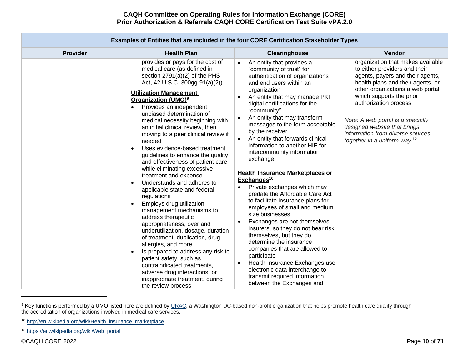|                 | Examples of Entities that are included in the four CORE Certification Stakeholder Types                                                                                                                                                                                                                                                                                                                                                                                                                                                                                                                                                                                                                                                                                                                                                                                                                                                                                                                                                                                                                         |                                                                                                                                                                                                                                                                                                                                                                                                                                                                                                                                                                                                                                                                                                                                                                                                                                                                                                                                                                                                                                                          |                                                                                                                                                                                                                                                                                                                                                                                           |
|-----------------|-----------------------------------------------------------------------------------------------------------------------------------------------------------------------------------------------------------------------------------------------------------------------------------------------------------------------------------------------------------------------------------------------------------------------------------------------------------------------------------------------------------------------------------------------------------------------------------------------------------------------------------------------------------------------------------------------------------------------------------------------------------------------------------------------------------------------------------------------------------------------------------------------------------------------------------------------------------------------------------------------------------------------------------------------------------------------------------------------------------------|----------------------------------------------------------------------------------------------------------------------------------------------------------------------------------------------------------------------------------------------------------------------------------------------------------------------------------------------------------------------------------------------------------------------------------------------------------------------------------------------------------------------------------------------------------------------------------------------------------------------------------------------------------------------------------------------------------------------------------------------------------------------------------------------------------------------------------------------------------------------------------------------------------------------------------------------------------------------------------------------------------------------------------------------------------|-------------------------------------------------------------------------------------------------------------------------------------------------------------------------------------------------------------------------------------------------------------------------------------------------------------------------------------------------------------------------------------------|
| <b>Provider</b> | <b>Health Plan</b>                                                                                                                                                                                                                                                                                                                                                                                                                                                                                                                                                                                                                                                                                                                                                                                                                                                                                                                                                                                                                                                                                              | Clearinghouse                                                                                                                                                                                                                                                                                                                                                                                                                                                                                                                                                                                                                                                                                                                                                                                                                                                                                                                                                                                                                                            | Vendor                                                                                                                                                                                                                                                                                                                                                                                    |
|                 | provides or pays for the cost of<br>medical care (as defined in<br>section 2791(a)(2) of the PHS<br>Act, 42 U.S.C. 300gg-91(a)(2))<br><b>Utilization Management</b><br>Organization (UMO) <sup>9</sup><br>Provides an independent,<br>$\bullet$<br>unbiased determination of<br>medical necessity beginning with<br>an initial clinical review, then<br>moving to a peer clinical review if<br>needed<br>Uses evidence-based treatment<br>$\bullet$<br>guidelines to enhance the quality<br>and effectiveness of patient care<br>while eliminating excessive<br>treatment and expense<br>Understands and adheres to<br>$\bullet$<br>applicable state and federal<br>regulations<br>Employs drug utilization<br>$\bullet$<br>management mechanisms to<br>address therapeutic<br>appropriateness, over and<br>underutilization, dosage, duration<br>of treatment, duplication, drug<br>allergies, and more<br>Is prepared to address any risk to<br>$\bullet$<br>patient safety, such as<br>contraindicated treatments,<br>adverse drug interactions, or<br>inappropriate treatment, during<br>the review process | An entity that provides a<br>$\bullet$<br>"community of trust" for<br>authentication of organizations<br>and end users within an<br>organization<br>An entity that may manage PKI<br>$\bullet$<br>digital certifications for the<br>"community"<br>An entity that may transform<br>$\bullet$<br>messages to the form acceptable<br>by the receiver<br>An entity that forwards clinical<br>$\bullet$<br>information to another HIE for<br>intercommunity information<br>exchange<br><b>Health Insurance Marketplaces or</b><br>Exchanges <sup>10</sup><br>Private exchanges which may<br>predate the Affordable Care Act<br>to facilitate insurance plans for<br>employees of small and medium<br>size businesses<br>Exchanges are not themselves<br>$\bullet$<br>insurers, so they do not bear risk<br>themselves, but they do<br>determine the insurance<br>companies that are allowed to<br>participate<br>Health Insurance Exchanges use<br>$\bullet$<br>electronic data interchange to<br>transmit required information<br>between the Exchanges and | organization that makes available<br>to either providers and their<br>agents, payers and their agents,<br>health plans and their agents, or<br>other organizations a web portal<br>which supports the prior<br>authorization process<br>Note: A web portal is a specially<br>designed website that brings<br>information from diverse sources<br>together in a uniform way. <sup>12</sup> |

<sup>&</sup>lt;sup>9</sup> Key functions performed by a UMO listed here are defined by [URAC,](https://www.urac.org/) a Washington DC-based non-profit organization that helps promote health care quality through the accreditation of organizations involved in medical care services.

<sup>12</sup> [https://en.wikipedia.org/wiki/Web\\_portal](https://en.wikipedia.org/wiki/Web_portal)

<sup>10</sup> [http://en.wikipedia.org/wiki/Health\\_insurance\\_marketplace](http://en.wikipedia.org/wiki/Health_insurance_marketplace)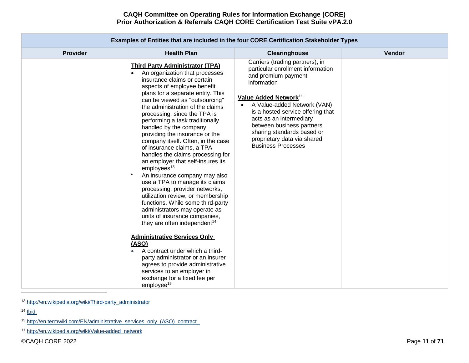| Examples of Entities that are included in the four CORE Certification Stakeholder Types |                                                                                                                                                                                                                                                                                                                                                                                                                                                                                                                                                                                                                                                                                                                                                                                                                                                                                                                                                                                                                                                                                                                         |                                                                                                                                                                                                                                                                                                                                                                       |        |  |  |  |  |  |
|-----------------------------------------------------------------------------------------|-------------------------------------------------------------------------------------------------------------------------------------------------------------------------------------------------------------------------------------------------------------------------------------------------------------------------------------------------------------------------------------------------------------------------------------------------------------------------------------------------------------------------------------------------------------------------------------------------------------------------------------------------------------------------------------------------------------------------------------------------------------------------------------------------------------------------------------------------------------------------------------------------------------------------------------------------------------------------------------------------------------------------------------------------------------------------------------------------------------------------|-----------------------------------------------------------------------------------------------------------------------------------------------------------------------------------------------------------------------------------------------------------------------------------------------------------------------------------------------------------------------|--------|--|--|--|--|--|
| <b>Provider</b>                                                                         | <b>Health Plan</b>                                                                                                                                                                                                                                                                                                                                                                                                                                                                                                                                                                                                                                                                                                                                                                                                                                                                                                                                                                                                                                                                                                      | Clearinghouse                                                                                                                                                                                                                                                                                                                                                         | Vendor |  |  |  |  |  |
|                                                                                         | <b>Third Party Administrator (TPA)</b><br>An organization that processes<br>$\bullet$<br>insurance claims or certain<br>aspects of employee benefit<br>plans for a separate entity. This<br>can be viewed as "outsourcing"<br>the administration of the claims<br>processing, since the TPA is<br>performing a task traditionally<br>handled by the company<br>providing the insurance or the<br>company itself. Often, in the case<br>of insurance claims, a TPA<br>handles the claims processing for<br>an employer that self-insures its<br>employees <sup>13</sup><br>An insurance company may also<br>use a TPA to manage its claims<br>processing, provider networks,<br>utilization review, or membership<br>functions. While some third-party<br>administrators may operate as<br>units of insurance companies,<br>they are often independent <sup>14</sup><br><b>Administrative Services Only</b><br>(ASO)<br>A contract under which a third-<br>party administrator or an insurer<br>agrees to provide administrative<br>services to an employer in<br>exchange for a fixed fee per<br>employee <sup>15</sup> | Carriers (trading partners), in<br>particular enrollment information<br>and premium payment<br>information<br>Value Added Network <sup>11</sup><br>A Value-added Network (VAN)<br>is a hosted service offering that<br>acts as an intermediary<br>between business partners<br>sharing standards based or<br>proprietary data via shared<br><b>Business Processes</b> |        |  |  |  |  |  |

<sup>13</sup> [http://en.wikipedia.org/wiki/Third-party\\_administrator](http://en.wikipedia.org/wiki/Third-party_administrator)

<sup>14</sup> [Ibid.](http://en.wikipedia.org/wiki/Third-party_administrator)

<sup>15</sup> [http://en.termwiki.com/EN/administrative\\_services\\_only\\_\(ASO\)\\_contract](http://en.termwiki.com/EN/administrative_services_only_(ASO)_contract) 

<sup>11</sup> [http://en.wikipedia.org/wiki/Value-added\\_network](http://en.wikipedia.org/wiki/Value-added_network)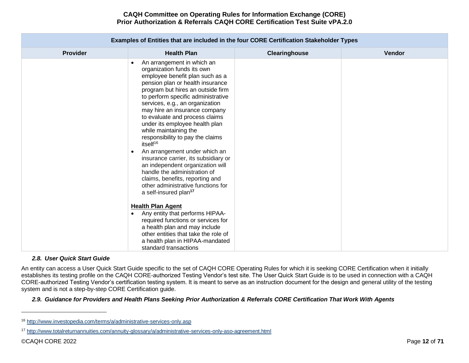| Examples of Entities that are included in the four CORE Certification Stakeholder Types |                                                                                                                                                                                                                                                                                                                                                                                                                                                                                                                                                                                                                                                                                                                              |               |        |  |  |  |  |  |
|-----------------------------------------------------------------------------------------|------------------------------------------------------------------------------------------------------------------------------------------------------------------------------------------------------------------------------------------------------------------------------------------------------------------------------------------------------------------------------------------------------------------------------------------------------------------------------------------------------------------------------------------------------------------------------------------------------------------------------------------------------------------------------------------------------------------------------|---------------|--------|--|--|--|--|--|
| <b>Provider</b>                                                                         | <b>Health Plan</b>                                                                                                                                                                                                                                                                                                                                                                                                                                                                                                                                                                                                                                                                                                           | Clearinghouse | Vendor |  |  |  |  |  |
|                                                                                         | An arrangement in which an<br>$\bullet$<br>organization funds its own<br>employee benefit plan such as a<br>pension plan or health insurance<br>program but hires an outside firm<br>to perform specific administrative<br>services, e.g., an organization<br>may hire an insurance company<br>to evaluate and process claims<br>under its employee health plan<br>while maintaining the<br>responsibility to pay the claims<br>itself <sup>16</sup><br>An arrangement under which an<br>$\bullet$<br>insurance carrier, its subsidiary or<br>an independent organization will<br>handle the administration of<br>claims, benefits, reporting and<br>other administrative functions for<br>a self-insured plan <sup>17</sup> |               |        |  |  |  |  |  |
|                                                                                         | <b>Health Plan Agent</b><br>Any entity that performs HIPAA-<br>required functions or services for<br>a health plan and may include<br>other entities that take the role of<br>a health plan in HIPAA-mandated<br>standard transactions                                                                                                                                                                                                                                                                                                                                                                                                                                                                                       |               |        |  |  |  |  |  |

## <span id="page-11-0"></span>*2.8. User Quick Start Guide*

An entity can access a User Quick Start Guide specific to the set of CAQH CORE Operating Rules for which it is seeking CORE Certification when it initially establishes its testing profile on the CAQH CORE-authorized Testing Vendor's test site. The User Quick Start Guide is to be used in connection with a CAQH CORE-authorized Testing Vendor's certification testing system. It is meant to serve as an instruction document for the design and general utility of the testing system and is not a step-by-step CORE Certification guide.

#### <span id="page-11-1"></span>*2.9. Guidance for Providers and Health Plans Seeking Prior Authorization & Referrals CORE Certification That Work With Agents*

<sup>16</sup> <http://www.investopedia.com/terms/a/administrative-services-only.asp>

<sup>17</sup> <http://www.totalreturnannuities.com/annuity-glossary/a/administrative-services-only-aso-agreement.html>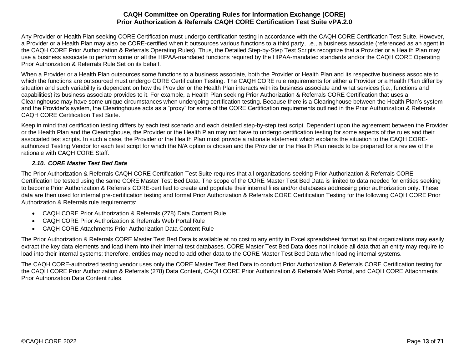Any Provider or Health Plan seeking CORE Certification must undergo certification testing in accordance with the CAQH CORE Certification Test Suite. However, a Provider or a Health Plan may also be CORE-certified when it outsources various functions to a third party, i.e., a business associate (referenced as an agent in the CAQH CORE Prior Authorization & Referrals Operating Rules). Thus, the Detailed Step-by-Step Test Scripts recognize that a Provider or a Health Plan may use a business associate to perform some or all the HIPAA-mandated functions required by the HIPAA-mandated standards and/or the CAQH CORE Operating Prior Authorization & Referrals Rule Set on its behalf.

When a Provider or a Health Plan outsources some functions to a business associate, both the Provider or Health Plan and its respective business associate to which the functions are outsourced must undergo CORE Certification Testing. The CAQH CORE rule requirements for either a Provider or a Health Plan differ by situation and such variability is dependent on how the Provider or the Health Plan interacts with its business associate and what services (i.e., functions and capabilities) its business associate provides to it. For example, a Health Plan seeking Prior Authorization & Referrals CORE Certification that uses a Clearinghouse may have some unique circumstances when undergoing certification testing. Because there is a Clearinghouse between the Health Plan's system and the Provider's system, the Clearinghouse acts as a "proxy" for some of the CORE Certification requirements outlined in the Prior Authorization & Referrals CAQH CORE Certification Test Suite.

Keep in mind that certification testing differs by each test scenario and each detailed step-by-step test script. Dependent upon the agreement between the Provider or the Health Plan and the Clearinghouse, the Provider or the Health Plan may not have to undergo certification testing for some aspects of the rules and their associated test scripts. In such a case, the Provider or the Health Plan must provide a rationale statement which explains the situation to the CAQH COREauthorized Testing Vendor for each test script for which the N/A option is chosen and the Provider or the Health Plan needs to be prepared for a review of the rationale with CAQH CORE Staff.

# *2.10. CORE Master Test Bed Data*

<span id="page-12-0"></span>The Prior Authorization & Referrals CAQH CORE Certification Test Suite requires that all organizations seeking Prior Authorization & Referrals CORE Certification be tested using the same CORE Master Test Bed Data. The scope of the CORE Master Test Bed Data is limited to data needed for entities seeking to become Prior Authorization & Referrals CORE-certified to create and populate their internal files and/or databases addressing prior authorization only. These data are then used for internal pre-certification testing and formal Prior Authorization & Referrals CORE Certification Testing for the following CAQH CORE Prior Authorization & Referrals rule requirements:

- CAQH CORE Prior Authorization & Referrals (278) Data Content Rule
- CAQH CORE Prior Authorization & Referrals Web Portal Rule
- CAQH CORE Attachments Prior Authorization Data Content Rule

The Prior Authorization & Referrals CORE Master Test Bed Data is available at no cost to any entity in Excel spreadsheet format so that organizations may easily extract the key data elements and load them into their internal test databases. CORE Master Test Bed Data does not include all data that an entity may require to load into their internal systems; therefore, entities may need to add other data to the CORE Master Test Bed Data when loading internal systems.

The CAQH CORE-authorized testing vendor uses only the CORE Master Test Bed Data to conduct Prior Authorization & Referrals CORE Certification testing for the CAQH CORE Prior Authorization & Referrals (278) Data Content, CAQH CORE Prior Authorization & Referrals Web Portal, and CAQH CORE Attachments Prior Authorization Data Content rules.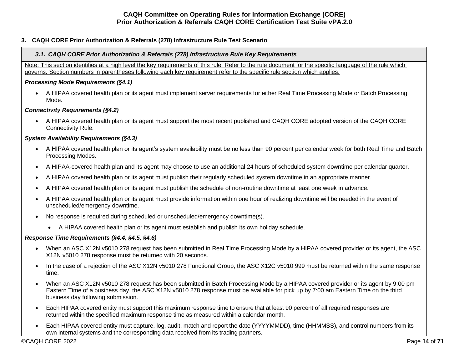## <span id="page-13-0"></span>**3. CAQH CORE Prior Authorization & Referrals (278) Infrastructure Rule Test Scenario**

### <span id="page-13-1"></span>*3.1. CAQH CORE Prior Authorization & Referrals (278) Infrastructure Rule Key Requirements*

Note: This section identifies at a high level the key requirements of this rule. Refer to the rule document for the specific language of the rule which governs. Section numbers in parentheses following each key requirement refer to the specific rule section which applies.

### *Processing Mode Requirements (§4.1)*

• A HIPAA covered health plan or its agent must implement server requirements for either Real Time Processing Mode or Batch Processing Mode.

## *Connectivity Requirements (§4.2)*

• A HIPAA covered health plan or its agent must support the most recent published and CAQH CORE adopted version of the CAQH CORE Connectivity Rule.

## *System Availability Requirements (§4.3)*

- A HIPAA covered health plan or its agent's system availability must be no less than 90 percent per calendar week for both Real Time and Batch Processing Modes.
- A HIPAA-covered health plan and its agent may choose to use an additional 24 hours of scheduled system downtime per calendar quarter.
- A HIPAA covered health plan or its agent must publish their regularly scheduled system downtime in an appropriate manner.
- A HIPAA covered health plan or its agent must publish the schedule of non-routine downtime at least one week in advance.
- A HIPAA covered health plan or its agent must provide information within one hour of realizing downtime will be needed in the event of unscheduled/emergency downtime.
- No response is required during scheduled or unscheduled/emergency downtime(s).
	- A HIPAA covered health plan or its agent must establish and publish its own holiday schedule.

## *Response Time Requirements (§4.4, §4.5, §4.6)*

- When an ASC X12N v5010 278 request has been submitted in Real Time Processing Mode by a HIPAA covered provider or its agent, the ASC X12N v5010 278 response must be returned with 20 seconds.
- In the case of a rejection of the ASC X12N v5010 278 Functional Group, the ASC X12C v5010 999 must be returned within the same response time.
- When an ASC X12N v5010 278 request has been submitted in Batch Processing Mode by a HIPAA covered provider or its agent by 9:00 pm Eastern Time of a business day, the ASC X12N v5010 278 response must be available for pick up by 7:00 am Eastern Time on the third business day following submission.
- Each HIPAA covered entity must support this maximum response time to ensure that at least 90 percent of all required responses are returned within the specified maximum response time as measured within a calendar month.
- Each HIPAA covered entity must capture, log, audit, match and report the date (YYYYMMDD), time (HHMMSS), and control numbers from its own internal systems and the corresponding data received from its trading partners.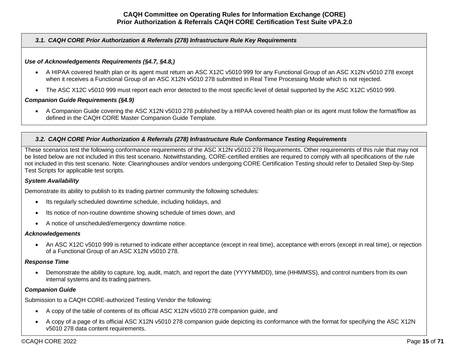## *3.1. CAQH CORE Prior Authorization & Referrals (278) Infrastructure Rule Key Requirements*

# *Use of Acknowledgements Requirements (§4.7, §4.8,)*

- A HIPAA covered health plan or its agent must return an ASC X12C v5010 999 for any Functional Group of an ASC X12N v5010 278 except when it receives a Functional Group of an ASC X12N v5010 278 submitted in Real Time Processing Mode which is not rejected.
- The ASC X12C v5010 999 must report each error detected to the most specific level of detail supported by the ASC X12C v5010 999.

## *Companion Guide Requirements (§4.9)*

• A Companion Guide covering the ASC X12N v5010 278 published by a HIPAA covered health plan or its agent must follow the format/flow as defined in the CAQH CORE Master Companion Guide Template.

## <span id="page-14-0"></span>*3.2. CAQH CORE Prior Authorization & Referrals (278) Infrastructure Rule Conformance Testing Requirements*

These scenarios test the following conformance requirements of the ASC X12N v5010 278 Requirements. Other requirements of this rule that may not be listed below are not included in this test scenario. Notwithstanding, CORE-certified entities are required to comply with all specifications of the rule not included in this test scenario. Note: Clearinghouses and/or vendors undergoing CORE Certification Testing should refer to Detailed Step-by-Step Test Scripts for applicable test scripts.

## *System Availability*

Demonstrate its ability to publish to its trading partner community the following schedules:

- Its regularly scheduled downtime schedule, including holidays, and
- Its notice of non-routine downtime showing schedule of times down, and
- A notice of unscheduled/emergency downtime notice.

#### *Acknowledgements*

• An ASC X12C v5010 999 is returned to indicate either acceptance (except in real time), acceptance with errors (except in real time), or rejection of a Functional Group of an ASC X12N v5010 278.

#### *Response Time*

• Demonstrate the ability to capture, log, audit, match, and report the date (YYYYMMDD), time (HHMMSS), and control numbers from its own internal systems and its trading partners.

## *Companion Guide*

Submission to a CAQH CORE-authorized Testing Vendor the following:

- A copy of the table of contents of its official ASC X12N v5010 278 companion guide, and
- A copy of a page of its official ASC X12N v5010 278 companion guide depicting its conformance with the format for specifying the ASC X12N v5010 278 data content requirements.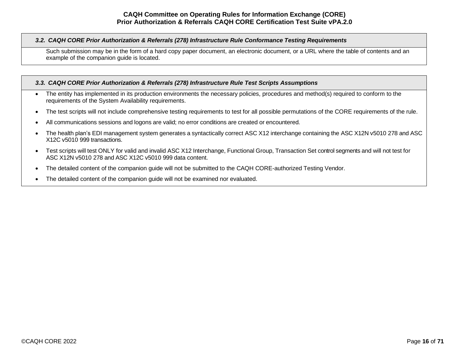### *3.2. CAQH CORE Prior Authorization & Referrals (278) Infrastructure Rule Conformance Testing Requirements*

Such submission may be in the form of a hard copy paper document, an electronic document, or a URL where the table of contents and an example of the companion guide is located.

## <span id="page-15-0"></span>*3.3. CAQH CORE Prior Authorization & Referrals (278) Infrastructure Rule Test Scripts Assumptions*

- The entity has implemented in its production environments the necessary policies, procedures and method(s) required to conform to the requirements of the System Availability requirements.
- The test scripts will not include comprehensive testing requirements to test for all possible permutations of the CORE requirements of the rule.
- All communications sessions and logons are valid; no error conditions are created or encountered.
- The health plan's EDI management system generates a syntactically correct ASC X12 interchange containing the ASC X12N v5010 278 and ASC X12C v5010 999 transactions.
- Test scripts will test ONLY for valid and invalid ASC X12 Interchange, Functional Group, Transaction Set control segments and will not test for ASC X12N v5010 278 and ASC X12C v5010 999 data content.
- The detailed content of the companion guide will not be submitted to the CAQH CORE-authorized Testing Vendor.
- The detailed content of the companion guide will not be examined nor evaluated.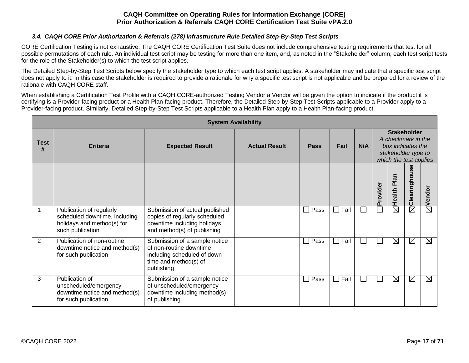## *3.4. CAQH CORE Prior Authorization & Referrals (278) Infrastructure Rule Detailed Step-By-Step Test Scripts*

<span id="page-16-0"></span>CORE Certification Testing is not exhaustive. The CAQH CORE Certification Test Suite does not include comprehensive testing requirements that test for all possible permutations of each rule. An individual test script may be testing for more than one item, and, as noted in the "Stakeholder" column, each test script tests for the role of the Stakeholder(s) to which the test script applies.

The Detailed Step-by-Step Test Scripts below specify the stakeholder type to which each test script applies. A stakeholder may indicate that a specific test script does not apply to it. In this case the stakeholder is required to provide a rationale for why a specific test script is not applicable and be prepared for a review of the rationale with CAQH CORE staff.

When establishing a Certification Test Profile with a CAQH CORE-authorized Testing Vendor a Vendor will be given the option to indicate if the product it is certifying is a Provider-facing product or a Health Plan-facing product. Therefore, the Detailed Step-by-Step Test Scripts applicable to a Provider apply to a Provider-facing product. Similarly, Detailed Step-by-Step Test Scripts applicable to a Health Plan apply to a Health Plan-facing product.

|                  | <b>System Availability</b>                                                                                  |                                                                                                                                |                      |                |                        |     |          |                                                                                                                |                        |             |
|------------------|-------------------------------------------------------------------------------------------------------------|--------------------------------------------------------------------------------------------------------------------------------|----------------------|----------------|------------------------|-----|----------|----------------------------------------------------------------------------------------------------------------|------------------------|-------------|
| <b>Test</b><br># | <b>Criteria</b>                                                                                             | <b>Expected Result</b>                                                                                                         | <b>Actual Result</b> | <b>Pass</b>    | Fail                   | N/A |          | <b>Stakeholder</b><br>A checkmark in the<br>box indicates the<br>stakeholder type to<br>which the test applies |                        |             |
|                  |                                                                                                             |                                                                                                                                |                      |                |                        |     | Provider | Plan<br><b>Health</b>                                                                                          | Clearinghouse          | Vendor      |
|                  | Publication of regularly<br>scheduled downtime, including<br>holidays and method(s) for<br>such publication | Submission of actual published<br>copies of regularly scheduled<br>downtime including holidays<br>and method(s) of publishing  |                      | Pass           | Fail                   |     |          | $\boxtimes$                                                                                                    | $\overline{\boxtimes}$ | $\boxtimes$ |
| 2                | Publication of non-routine<br>downtime notice and method(s)<br>for such publication                         | Submission of a sample notice<br>of non-routine downtime<br>including scheduled of down<br>time and method(s) of<br>publishing |                      | Pass           | Fail<br>$\sim$         |     |          | $\boxtimes$                                                                                                    | $\boxtimes$            | $\boxtimes$ |
| 3                | Publication of<br>unscheduled/emergency<br>downtime notice and method(s)<br>for such publication            | Submission of a sample notice<br>of unscheduled/emergency<br>downtime including method(s)<br>of publishing                     |                      | Pass<br>$\sim$ | Fail<br>$\blacksquare$ |     |          | $\boxtimes$                                                                                                    | $\boxtimes$            | $\boxtimes$ |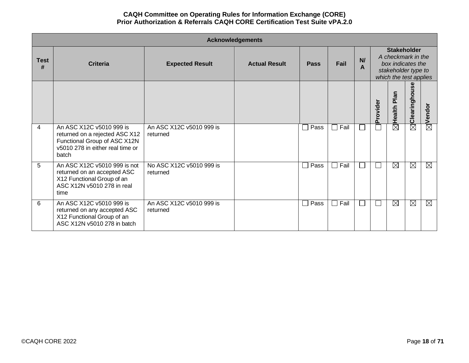|                  | <b>Acknowledgements</b>                                                                                                                 |                                      |                      |                      |                |         |                          |                                                                                                                |               |                        |
|------------------|-----------------------------------------------------------------------------------------------------------------------------------------|--------------------------------------|----------------------|----------------------|----------------|---------|--------------------------|----------------------------------------------------------------------------------------------------------------|---------------|------------------------|
| <b>Test</b><br># | <b>Criteria</b>                                                                                                                         | <b>Expected Result</b>               | <b>Actual Result</b> | Pass                 | Fail           | N/<br>A |                          | <b>Stakeholder</b><br>A checkmark in the<br>box indicates the<br>stakeholder type to<br>which the test applies |               |                        |
|                  |                                                                                                                                         |                                      |                      |                      |                |         | Provider                 | Plan<br>Health                                                                                                 | Clearinghouse | Vendor                 |
| 4                | An ASC X12C v5010 999 is<br>returned on a rejected ASC X12<br>Functional Group of ASC X12N<br>v5010 278 in either real time or<br>batch | An ASC X12C v5010 999 is<br>returned |                      | Pass<br>$\mathsf{L}$ | $\Box$ Fail    |         |                          | $\boxtimes$                                                                                                    | $\boxtimes$   | $\overline{\boxtimes}$ |
| 5                | An ASC X12C v5010 999 is not<br>returned on an accepted ASC<br>X12 Functional Group of an<br>ASC X12N v5010 278 in real<br>time         | No ASC X12C v5010 999 is<br>returned |                      | Pass<br>$\mathsf{L}$ | $\Box$ Fail    |         | $\overline{\phantom{0}}$ | $\boxtimes$                                                                                                    | $\boxtimes$   | $\boxtimes$            |
| 6                | An ASC X12C v5010 999 is<br>returned on any accepted ASC<br>X12 Functional Group of an<br>ASC X12N v5010 278 in batch                   | An ASC X12C v5010 999 is<br>returned |                      | Pass<br>$\mathsf{L}$ | Fail<br>$\Box$ |         |                          | $\boxtimes$                                                                                                    | $\boxtimes$   | $\boxtimes$            |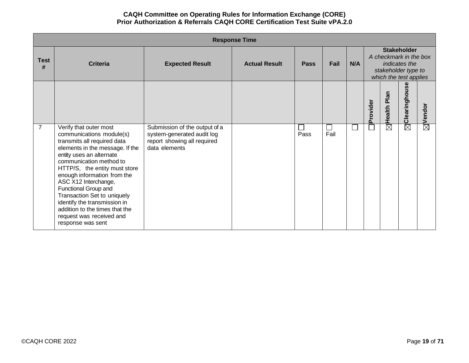|                  | <b>Response Time</b>                                                                                                                                                                                                                                                                                                                                                                                                                          |                                                                                                             |                      |             |      |     |          |                                                                                                                |                          |                    |
|------------------|-----------------------------------------------------------------------------------------------------------------------------------------------------------------------------------------------------------------------------------------------------------------------------------------------------------------------------------------------------------------------------------------------------------------------------------------------|-------------------------------------------------------------------------------------------------------------|----------------------|-------------|------|-----|----------|----------------------------------------------------------------------------------------------------------------|--------------------------|--------------------|
| <b>Test</b><br># | <b>Criteria</b>                                                                                                                                                                                                                                                                                                                                                                                                                               | <b>Expected Result</b>                                                                                      | <b>Actual Result</b> | <b>Pass</b> | Fail | N/A |          | <b>Stakeholder</b><br>A checkmark in the box<br>indicates the<br>stakeholder type to<br>which the test applies |                          |                    |
|                  |                                                                                                                                                                                                                                                                                                                                                                                                                                               |                                                                                                             |                      |             |      |     | Provider | Plan<br>Health <b>F</b>                                                                                        | $\bf{30}$<br>Clearinghou | $\boxtimes$ Vendor |
| $\overline{7}$   | Verify that outer most<br>communications module(s)<br>transmits all required data<br>elements in the message. If the<br>entity uses an alternate<br>communication method to<br>HTTP/S, the entity must store<br>enough information from the<br>ASC X12 Interchange,<br>Functional Group and<br>Transaction Set to uniquely<br>identify the transmission in<br>addition to the times that the<br>request was received and<br>response was sent | Submission of the output of a<br>system-generated audit log<br>report showing all required<br>data elements |                      | Pass        | Fail |     |          | $\overline{\boxtimes}$                                                                                         | $\overline{\boxtimes}$   |                    |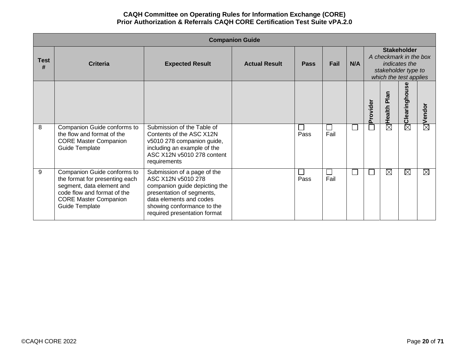|                  | <b>Companion Guide</b>                                                                                                                                                      |                                                                                                                                                                                                          |                      |             |                       |     |          |                                                                                                                |                    |                    |
|------------------|-----------------------------------------------------------------------------------------------------------------------------------------------------------------------------|----------------------------------------------------------------------------------------------------------------------------------------------------------------------------------------------------------|----------------------|-------------|-----------------------|-----|----------|----------------------------------------------------------------------------------------------------------------|--------------------|--------------------|
| <b>Test</b><br># | <b>Criteria</b>                                                                                                                                                             | <b>Expected Result</b>                                                                                                                                                                                   | <b>Actual Result</b> | <b>Pass</b> | Fail                  | N/A |          | <b>Stakeholder</b><br>A checkmark in the box<br>indicates the<br>stakeholder type to<br>which the test applies |                    |                    |
|                  |                                                                                                                                                                             |                                                                                                                                                                                                          |                      |             |                       |     | Provider | Plan<br>Health                                                                                                 | မ္တ<br>Clearinghou | $\boxtimes$ Vendor |
| 8                | Companion Guide conforms to<br>the flow and format of the<br><b>CORE Master Companion</b><br>Guide Template                                                                 | Submission of the Table of<br>Contents of the ASC X12N<br>v5010 278 companion guide,<br>including an example of the<br>ASC X12N v5010 278 content<br>requirements                                        |                      | Pass        | $\sim$<br>Fail        |     |          | $\overline{\boxtimes}$                                                                                         | $\boxtimes$        |                    |
| 9                | Companion Guide conforms to<br>the format for presenting each<br>segment, data element and<br>code flow and format of the<br><b>CORE Master Companion</b><br>Guide Template | Submission of a page of the<br>ASC X12N v5010 278<br>companion guide depicting the<br>presentation of segments,<br>data elements and codes<br>showing conformance to the<br>required presentation format |                      | Pass        | $\mathcal{L}$<br>Fail |     |          | $\boxtimes$                                                                                                    | $\boxtimes$        | $\boxtimes$        |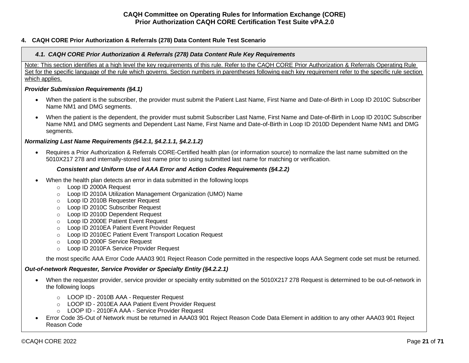## <span id="page-20-1"></span><span id="page-20-0"></span>**4. CAQH CORE Prior Authorization & Referrals (278) Data Content Rule Test Scenario**

# *4.1. CAQH CORE Prior Authorization & Referrals (278) Data Content Rule Key Requirements*

Note: This section identifies at a high level the key requirements of this rule. Refer to the CAQH CORE Prior Authorization & Referrals Operating Rule Set for the specific language of the rule which governs. Section numbers in parentheses following each key requirement refer to the specific rule section which applies.

# *Provider Submission Requirements (§4.1)*

- When the patient is the subscriber, the provider must submit the Patient Last Name, First Name and Date-of-Birth in Loop ID 2010C Subscriber Name NM1 and DMG segments.
- When the patient is the dependent, the provider must submit Subscriber Last Name, First Name and Date-of-Birth in Loop ID 2010C Subscriber Name NM1 and DMG segments and Dependent Last Name, First Name and Date-of-Birth in Loop ID 2010D Dependent Name NM1 and DMG segments.

# *Normalizing Last Name Requirements (§4.2.1, §4.2.1.1, §4.2.1.2)*

• Requires a Prior Authorization & Referrals CORE-Certified health plan (or information source) to normalize the last name submitted on the 5010X217 278 and internally-stored last name prior to using submitted last name for matching or verification.

# *Consistent and Uniform Use of AAA Error and Action Codes Requirements (§4.2.2)*

- When the health plan detects an error in data submitted in the following loops
	- o Loop ID 2000A Request
	- o Loop ID 2010A Utilization Management Organization (UMO) Name
	- o Loop ID 2010B Requester Request
	- o Loop ID 2010C Subscriber Request
	- o Loop ID 2010D Dependent Request
	- o Loop ID 2000E Patient Event Request
	- o Loop ID 2010EA Patient Event Provider Request
	- o Loop ID 2010EC Patient Event Transport Location Request
	- o Loop ID 2000F Service Request
	- o Loop ID 2010FA Service Provider Request

the most specific AAA Error Code AAA03 901 Reject Reason Code permitted in the respective loops AAA Segment code set must be returned.

# *Out-of-network Requester, Service Provider or Specialty Entity (§4.2.2.1)*

- When the requester provider, service provider or specialty entity submitted on the 5010X217 278 Request is determined to be out-of-network in the following loops
	- o LOOP ID 2010B AAA Requester Request
	- o LOOP ID 2010EA AAA Patient Event Provider Request
	- o LOOP ID 2010FA AAA Service Provider Request
- Error Code 35-Out of Network must be returned in AAA03 901 Reject Reason Code Data Element in addition to any other AAA03 901 Reject Reason Code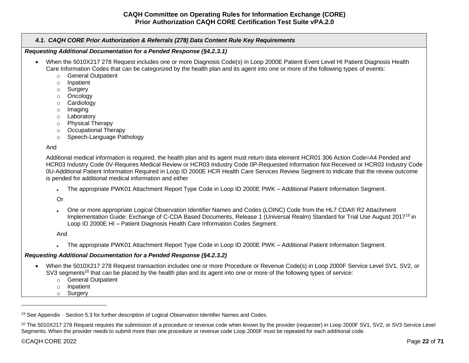*4.1. CAQH CORE Prior Authorization & Referrals (278) Data Content Rule Key Requirements*

*Requesting Additional Documentation for a Pended Response (§4.2.3.1)*

- When the 5010X217 278 Request includes one or more Diagnosis Code(s) in Loop 2000E Patient Event Level HI Patient Diagnosis Health Care Information Codes that can be categorized by the health plan and its agent into one or more of the following types of events:
	- o General Outpatient
	- o Inpatient
	- o Surgery
	- o Oncology
	- o Cardiology
	- o Imaging
	- o Laboratory
	- o Physical Therapy
	- o Occupational Therapy
	- o Speech-Language Pathology

And

Additional medical information is required, the health plan and its agent must return data element HCR01 306 Action Code=A4 Pended and HCR03 Industry Code 0V-Requires Medical Review or HCR03 Industry Code 0P-Requested Information Not Received or HCR03 Industry Code 0U-Additional Patient Information Required in Loop ID 2000E HCR Health Care Services Review Segment to indicate that the review outcome is pended for additional medical information and either

• The appropriate PWK01 Attachment Report Type Code in Loop ID 2000E PWK – Additional Patient Information Segment.

Or

• One or more appropriate Logical Observation Identifier Names and Codes (LOINC) Code from the HL7 CDA® R2 Attachment Implementation Guide: Exchange of C-CDA Based Documents, Release 1 (Universal Realm) Standard for Trial Use August 2017<sup>19</sup> in Loop ID 2000E HI – Patient Diagnosis Health Care Information Codes Segment.

And

• The appropriate PWK01 Attachment Report Type Code in Loop ID 2000E PWK – Additional Patient Information Segment.

# *Requesting Additional Documentation for a Pended Response (§4.2.3.2)*

- When the 5010X217 278 Request transaction includes one or more Procedure or Revenue Code(s) in Loop 2000F Service Level SV1, SV2, or SV3 segments<sup>20</sup> that can be placed by the health plan and its agent into one or more of the following types of service:
	- o General Outpatient
	- o Inpatient
	- o Surgery

<sup>&</sup>lt;sup>19</sup> See Appendix - Section 5.3 for further description of Logical Observation Identifier Names and Codes.

<sup>&</sup>lt;sup>20</sup> The 5010X217 278 Request requires the submission of a procedure or revenue code when known by the provider (requester) in Loop 2000F SV1, SV2, or SV3 Service Level Segments. When the provider needs to submit more than one procedure or revenue code Loop 2000F must be repeated for each additional code.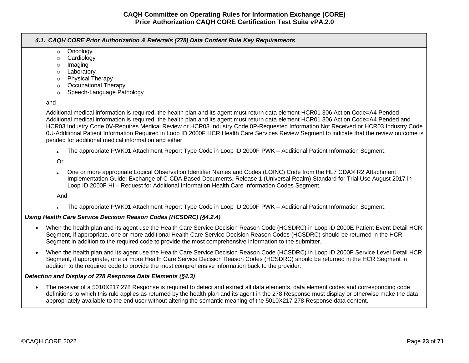|     | 4.1. CAQH CORE Prior Authorization & Referrals (278) Data Content Rule Key Requirements                                                                                                                                                                                                                                                                                                                                                                                                                                                                                                                                  |
|-----|--------------------------------------------------------------------------------------------------------------------------------------------------------------------------------------------------------------------------------------------------------------------------------------------------------------------------------------------------------------------------------------------------------------------------------------------------------------------------------------------------------------------------------------------------------------------------------------------------------------------------|
|     | Oncology<br>$\circ$<br>Cardiology<br>$\circ$<br>Imaging<br>$\circ$<br>Laboratory<br>$\circ$<br><b>Physical Therapy</b><br>$\circ$<br><b>Occupational Therapy</b><br>$\circ$<br>Speech-Language Pathology<br>$\circ$                                                                                                                                                                                                                                                                                                                                                                                                      |
| and |                                                                                                                                                                                                                                                                                                                                                                                                                                                                                                                                                                                                                          |
|     | Additional medical information is required, the health plan and its agent must return data element HCR01 306 Action Code=A4 Pended<br>Additional medical information is required, the health plan and its agent must return data element HCR01 306 Action Code=A4 Pended and<br>HCR03 Industry Code 0V-Requires Medical Review or HCR03 Industry Code 0P-Requested Information Not Received or HCR03 Industry Code<br>0U-Additional Patient Information Required in Loop ID 2000F HCR Health Care Services Review Segment to indicate that the review outcome is<br>pended for additional medical information and either |
|     | The appropriate PWK01 Attachment Report Type Code in Loop ID 2000F PWK - Additional Patient Information Segment.                                                                                                                                                                                                                                                                                                                                                                                                                                                                                                         |
|     | Or                                                                                                                                                                                                                                                                                                                                                                                                                                                                                                                                                                                                                       |
|     | One or more appropriate Logical Observation Identifier Names and Codes (LOINC) Code from the HL7 CDA® R2 Attachment<br>Implementation Guide: Exchange of C-CDA Based Documents, Release 1 (Universal Realm) Standard for Trial Use August 2017 in<br>Loop ID 2000F HI - Request for Additional Information Health Care Information Codes Segment.                                                                                                                                                                                                                                                                        |
|     | And                                                                                                                                                                                                                                                                                                                                                                                                                                                                                                                                                                                                                      |
|     | The appropriate PWK01 Attachment Report Type Code in Loop ID 2000F PWK - Additional Patient Information Segment.                                                                                                                                                                                                                                                                                                                                                                                                                                                                                                         |
|     | Using Health Care Service Decision Reason Codes (HCSDRC) (§4.2.4)                                                                                                                                                                                                                                                                                                                                                                                                                                                                                                                                                        |
|     | When the health plan and its agent use the Health Care Service Decision Reason Code (HCSDRC) in Loop ID 2000E Patient Event Detail HCR<br>Segment, if appropriate, one or more additional Health Care Service Decision Reason Codes (HCSDRC) should be returned in the HCR<br>Segment in addition to the required code to provide the most comprehensive information to the submitter.                                                                                                                                                                                                                                   |
|     | When the health plan and its agent use the Health Care Service Decision Reason Code (HCSDRC) in Loop ID 2000F Service Level Detail HCR<br>Segment, if appropriate, one or more Health Care Service Decision Reason Codes (HCSDRC) should be returned in the HCR Segment in<br>addition to the required code to provide the most comprehensive information back to the provider.                                                                                                                                                                                                                                          |
|     | Detection and Display of 278 Response Data Elements (§4.3)                                                                                                                                                                                                                                                                                                                                                                                                                                                                                                                                                               |
|     | The receiver of a 5010X217 278 Response is required to detect and extract all data elements, data element codes and corresponding code<br>definitions to which this rule applies as returned by the health plan and its agent in the 278 Response must display or otherwise make the data<br>appropriately available to the end user without altering the semantic meaning of the 5010X217 278 Response data content.                                                                                                                                                                                                    |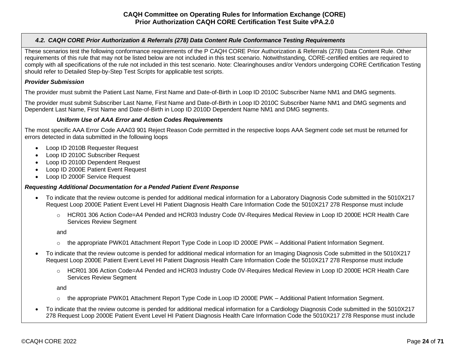## <span id="page-23-0"></span>*4.2. CAQH CORE Prior Authorization & Referrals (278) Data Content Rule Conformance Testing Requirements*

These scenarios test the following conformance requirements of the P CAQH CORE Prior Authorization & Referrals (278) Data Content Rule. Other requirements of this rule that may not be listed below are not included in this test scenario. Notwithstanding, CORE-certified entities are required to comply with all specifications of the rule not included in this test scenario. Note: Clearinghouses and/or Vendors undergoing CORE Certification Testing should refer to Detailed Step-by-Step Test Scripts for applicable test scripts.

## *Provider Submission*

The provider must submit the Patient Last Name, First Name and Date-of-Birth in Loop ID 2010C Subscriber Name NM1 and DMG segments.

The provider must submit Subscriber Last Name, First Name and Date-of-Birth in Loop ID 2010C Subscriber Name NM1 and DMG segments and Dependent Last Name, First Name and Date-of-Birth in Loop ID 2010D Dependent Name NM1 and DMG segments.

## *Uniform Use of AAA Error and Action Codes Requirements*

The most specific AAA Error Code AAA03 901 Reject Reason Code permitted in the respective loops AAA Segment code set must be returned for errors detected in data submitted in the following loops

- Loop ID 2010B Requester Request
- Loop ID 2010C Subscriber Request
- Loop ID 2010D Dependent Request
- Loop ID 2000E Patient Event Request
- Loop ID 2000F Service Request

## *Requesting Additional Documentation for a Pended Patient Event Response*

- To indicate that the review outcome is pended for additional medical information for a Laboratory Diagnosis Code submitted in the 5010X217 Request Loop 2000E Patient Event Level HI Patient Diagnosis Health Care Information Code the 5010X217 278 Response must include
	- o HCR01 306 Action Code=A4 Pended and HCR03 Industry Code 0V-Requires Medical Review in Loop ID 2000E HCR Health Care Services Review Segment

and

- o the appropriate PWK01 Attachment Report Type Code in Loop ID 2000E PWK Additional Patient Information Segment.
- To indicate that the review outcome is pended for additional medical information for an Imaging Diagnosis Code submitted in the 5010X217 Request Loop 2000E Patient Event Level HI Patient Diagnosis Health Care Information Code the 5010X217 278 Response must include
	- o HCR01 306 Action Code=A4 Pended and HCR03 Industry Code 0V-Requires Medical Review in Loop ID 2000E HCR Health Care Services Review Segment

and

- $\circ$  the appropriate PWK01 Attachment Report Type Code in Loop ID 2000E PWK Additional Patient Information Segment.
- To indicate that the review outcome is pended for additional medical information for a Cardiology Diagnosis Code submitted in the 5010X217 278 Request Loop 2000E Patient Event Level HI Patient Diagnosis Health Care Information Code the 5010X217 278 Response must include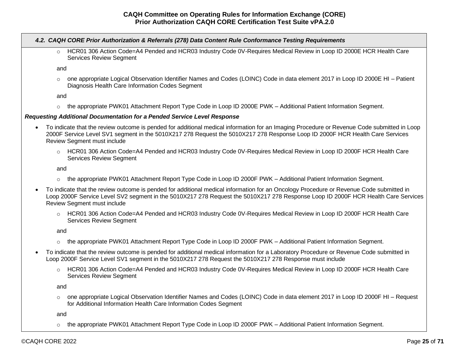|           |         | 4.2. CAQH CORE Prior Authorization & Referrals (278) Data Content Rule Conformance Testing Requirements                                                                                                                                                                                                    |
|-----------|---------|------------------------------------------------------------------------------------------------------------------------------------------------------------------------------------------------------------------------------------------------------------------------------------------------------------|
|           | $\circ$ | HCR01 306 Action Code=A4 Pended and HCR03 Industry Code 0V-Requires Medical Review in Loop ID 2000E HCR Health Care<br><b>Services Review Segment</b>                                                                                                                                                      |
|           | and     |                                                                                                                                                                                                                                                                                                            |
|           | $\circ$ | one appropriate Logical Observation Identifier Names and Codes (LOINC) Code in data element 2017 in Loop ID 2000E HI - Patient<br>Diagnosis Health Care Information Codes Segment                                                                                                                          |
|           | and     |                                                                                                                                                                                                                                                                                                            |
|           | $\circ$ | the appropriate PWK01 Attachment Report Type Code in Loop ID 2000E PWK - Additional Patient Information Segment.                                                                                                                                                                                           |
|           |         | Requesting Additional Documentation for a Pended Service Level Response                                                                                                                                                                                                                                    |
| $\bullet$ |         | To indicate that the review outcome is pended for additional medical information for an Imaging Procedure or Revenue Code submitted in Loop<br>2000F Service Level SV1 segment in the 5010X217 278 Request the 5010X217 278 Response Loop ID 2000F HCR Health Care Services<br>Review Segment must include |
|           |         | HCR01 306 Action Code=A4 Pended and HCR03 Industry Code 0V-Requires Medical Review in Loop ID 2000F HCR Health Care                                                                                                                                                                                        |

and

Services Review Segment

- o the appropriate PWK01 Attachment Report Type Code in Loop ID 2000F PWK Additional Patient Information Segment.
- To indicate that the review outcome is pended for additional medical information for an Oncology Procedure or Revenue Code submitted in Loop 2000F Service Level SV2 segment in the 5010X217 278 Request the 5010X217 278 Response Loop ID 2000F HCR Health Care Services Review Segment must include
	- o HCR01 306 Action Code=A4 Pended and HCR03 Industry Code 0V-Requires Medical Review in Loop ID 2000F HCR Health Care Services Review Segment

and

- o the appropriate PWK01 Attachment Report Type Code in Loop ID 2000F PWK Additional Patient Information Segment.
- To indicate that the review outcome is pended for additional medical information for a Laboratory Procedure or Revenue Code submitted in Loop 2000F Service Level SV1 segment in the 5010X217 278 Request the 5010X217 278 Response must include
	- o HCR01 306 Action Code=A4 Pended and HCR03 Industry Code 0V-Requires Medical Review in Loop ID 2000F HCR Health Care Services Review Segment

and

o one appropriate Logical Observation Identifier Names and Codes (LOINC) Code in data element 2017 in Loop ID 2000F HI – Request for Additional Information Health Care Information Codes Segment

and

o the appropriate PWK01 Attachment Report Type Code in Loop ID 2000F PWK – Additional Patient Information Segment.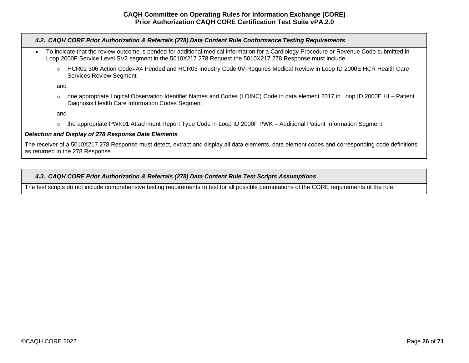| 4.2. CAQH CORE Prior Authorization & Referrals (278) Data Content Rule Conformance Testing Requirements                                                                                                                                             |  |
|-----------------------------------------------------------------------------------------------------------------------------------------------------------------------------------------------------------------------------------------------------|--|
| To indicate that the review outcome is pended for additional medical information for a Cardiology Procedure or Revenue Code submitted in<br>Loop 2000F Service Level SV2 segment in the 5010X217 278 Request the 5010X217 278 Response must include |  |
| HCR01 306 Action Code=A4 Pended and HCR03 Industry Code 0V-Requires Medical Review in Loop ID 2000E HCR Health Care<br>$\circ$<br><b>Services Review Segment</b>                                                                                    |  |
| and                                                                                                                                                                                                                                                 |  |
| one appropriate Logical Observation Identifier Names and Codes (LOINC) Code in data element 2017 in Loop ID 2000E HI - Patient<br>$\circ$<br>Diagnosis Health Care Information Codes Segment                                                        |  |
| and                                                                                                                                                                                                                                                 |  |
| the appropriate PWK01 Attachment Report Type Code in Loop ID 2000F PWK - Additional Patient Information Segment.<br>$\circ$                                                                                                                         |  |
| Detection and Display of 278 Response Data Elements                                                                                                                                                                                                 |  |

The receiver of a 5010X217 278 Response must detect, extract and display all data elements, data element codes and corresponding code definitions as returned in the 278 Response.

# <span id="page-25-0"></span>*4.3. CAQH CORE Prior Authorization & Referrals (278) Data Content Rule Test Scripts Assumptions*

The test scripts do not include comprehensive testing requirements to test for all possible permutations of the CORE requirements of the rule.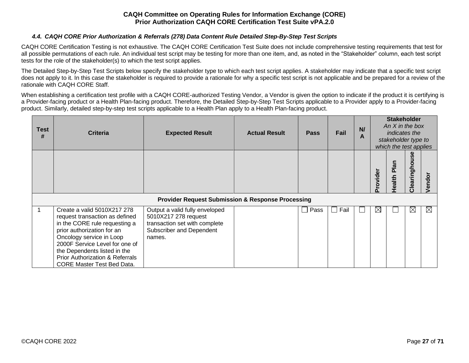## *4.4. CAQH CORE Prior Authorization & Referrals (278) Data Content Rule Detailed Step-By-Step Test Scripts*

<span id="page-26-0"></span>CAQH CORE Certification Testing is not exhaustive. The CAQH CORE Certification Test Suite does not include comprehensive testing requirements that test for all possible permutations of each rule. An individual test script may be testing for more than one item, and, as noted in the "Stakeholder" column, each test script tests for the role of the stakeholder(s) to which the test script applies.

The Detailed Step-by-Step Test Scripts below specify the stakeholder type to which each test script applies. A stakeholder may indicate that a specific test script does not apply to it. In this case the stakeholder is required to provide a rationale for why a specific test script is not applicable and be prepared for a review of the rationale with CAQH CORE Staff.

When establishing a certification test profile with a CAQH CORE-authorized Testing Vendor, a Vendor is given the option to indicate if the product it is certifying is a Provider-facing product or a Health Plan-facing product. Therefore, the Detailed Step-by-Step Test Scripts applicable to a Provider apply to a Provider-facing product. Similarly, detailed step-by-step test scripts applicable to a Health Plan apply to a Health Plan-facing product.

| <b>Test</b><br># | <b>Criteria</b>                                                                                                                                                                                                                                                                                               | <b>Expected Result</b>                                                                                                        | <b>Actual Result</b> | <b>Pass</b>          | Fail | N<br>A |             | <b>Stakeholder</b><br>An $X$ in the box<br><i>indicates the</i><br>stakeholder type to<br>which the test applies |               |      |
|------------------|---------------------------------------------------------------------------------------------------------------------------------------------------------------------------------------------------------------------------------------------------------------------------------------------------------------|-------------------------------------------------------------------------------------------------------------------------------|----------------------|----------------------|------|--------|-------------|------------------------------------------------------------------------------------------------------------------|---------------|------|
|                  |                                                                                                                                                                                                                                                                                                               |                                                                                                                               |                      |                      |      |        | Provider    | <b>R</b><br>Health                                                                                               | Clearinghouse | ndor |
|                  |                                                                                                                                                                                                                                                                                                               | <b>Provider Request Submission &amp; Response Processing</b>                                                                  |                      |                      |      |        |             |                                                                                                                  |               |      |
|                  | Create a valid 5010X217 278<br>request transaction as defined<br>in the CORE rule requesting a<br>prior authorization for an<br>Oncology service in Loop<br>2000F Service Level for one of<br>the Dependents listed in the<br><b>Prior Authorization &amp; Referrals</b><br><b>CORE Master Test Bed Data.</b> | Output a valid fully enveloped<br>5010X217 278 request<br>transaction set with complete<br>Subscriber and Dependent<br>names. |                      | Pass<br>$\mathbf{I}$ | Fail |        | $\boxtimes$ |                                                                                                                  | $\boxtimes$   | IХI  |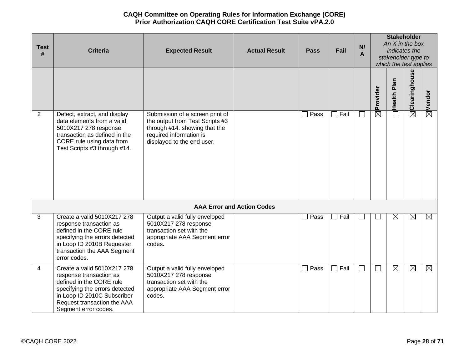| <b>Test</b><br># | <b>Criteria</b>                                                                                                                                                                                            | <b>Expected Result</b>                                                                                                                                       | <b>Actual Result</b>              | <b>Pass</b>            | Fail | N/<br>A      |                      |                       | <b>Stakeholder</b><br>An $X$ in the box<br>indicates the<br>stakeholder type to<br>which the test applies |                    |  |
|------------------|------------------------------------------------------------------------------------------------------------------------------------------------------------------------------------------------------------|--------------------------------------------------------------------------------------------------------------------------------------------------------------|-----------------------------------|------------------------|------|--------------|----------------------|-----------------------|-----------------------------------------------------------------------------------------------------------|--------------------|--|
|                  |                                                                                                                                                                                                            |                                                                                                                                                              |                                   |                        |      |              | $\boxtimes$ Provider | Plan<br><b>Health</b> | $\boxtimes$ Clearinghouse                                                                                 | $\boxtimes$ Vendor |  |
| 2                | Detect, extract, and display<br>data elements from a valid<br>5010X217 278 response<br>transaction as defined in the<br>CORE rule using data from<br>Test Scripts #3 through #14.                          | Submission of a screen print of<br>the output from Test Scripts #3<br>through #14. showing that the<br>required information is<br>displayed to the end user. |                                   | Pass                   | Fail | $\Box$       |                      |                       |                                                                                                           |                    |  |
|                  |                                                                                                                                                                                                            |                                                                                                                                                              | <b>AAA Error and Action Codes</b> |                        |      |              |                      |                       |                                                                                                           |                    |  |
| 3                | Create a valid 5010X217 278<br>response transaction as<br>defined in the CORE rule<br>specifying the errors detected<br>in Loop ID 2010B Requester<br>transaction the AAA Segment<br>error codes.          | Output a valid fully enveloped<br>5010X217 278 response<br>transaction set with the<br>appropriate AAA Segment error<br>codes.                               |                                   | $\square$ Pass         | Fail |              |                      | $\boxtimes$           | $\boxtimes$                                                                                               | $\boxtimes$        |  |
| 4                | Create a valid 5010X217 278<br>response transaction as<br>defined in the CORE rule<br>specifying the errors detected<br>in Loop ID 2010C Subscriber<br>Request transaction the AAA<br>Segment error codes. | Output a valid fully enveloped<br>5010X217 278 response<br>transaction set with the<br>appropriate AAA Segment error<br>codes.                               |                                   | Pass<br>$\blacksquare$ | Fail | $\mathbf{1}$ | $\Box$               | $\boxtimes$           | $\boxtimes$                                                                                               | ⊠                  |  |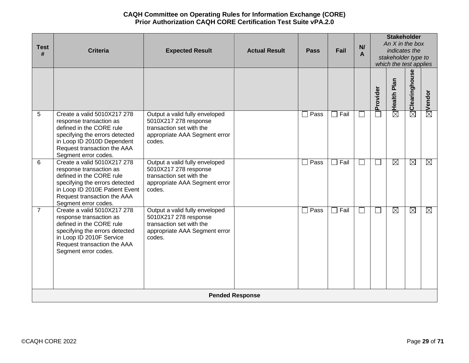| <b>Test</b><br># | <b>Criteria</b>                                                                                                                                                                                               | <b>Expected Result</b>                                                                                                         | <b>Actual Result</b>   | <b>Pass</b>            | Fail | N<br>A                   |              | <b>Stakeholder</b><br>An $X$ in the box<br>indicates the<br>stakeholder type to<br>which the test applies |                           |                    |
|------------------|---------------------------------------------------------------------------------------------------------------------------------------------------------------------------------------------------------------|--------------------------------------------------------------------------------------------------------------------------------|------------------------|------------------------|------|--------------------------|--------------|-----------------------------------------------------------------------------------------------------------|---------------------------|--------------------|
|                  |                                                                                                                                                                                                               |                                                                                                                                |                        |                        |      |                          | Provider     | Plan<br><b>Health</b>                                                                                     | $\boxtimes$ Clearinghouse | $\boxtimes$ Vendor |
| 5                | Create a valid 5010X217 278<br>response transaction as<br>defined in the CORE rule<br>specifying the errors detected<br>in Loop ID 2010D Dependent<br>Request transaction the AAA<br>Segment error codes.     | Output a valid fully enveloped<br>5010X217 278 response<br>transaction set with the<br>appropriate AAA Segment error<br>codes. |                        | $\Box$ Pass            | Fail |                          |              | $\boxtimes$                                                                                               |                           |                    |
| 6                | Create a valid 5010X217 278<br>response transaction as<br>defined in the CORE rule<br>specifying the errors detected<br>in Loop ID 2010E Patient Event<br>Request transaction the AAA<br>Segment error codes. | Output a valid fully enveloped<br>5010X217 278 response<br>transaction set with the<br>appropriate AAA Segment error<br>codes. |                        | Pass<br>$\blacksquare$ | Fail | $\overline{\phantom{a}}$ | $\sim$       | ⊠                                                                                                         | ⊠                         | ⊠                  |
| $\overline{7}$   | Create a valid 5010X217 278<br>response transaction as<br>defined in the CORE rule<br>specifying the errors detected<br>in Loop ID 2010F Service<br>Request transaction the AAA<br>Segment error codes.       | Output a valid fully enveloped<br>5010X217 278 response<br>transaction set with the<br>appropriate AAA Segment error<br>codes. |                        | $\Box$ Pass            | Fail | $\Box$                   | $\mathbf{L}$ | $\boxtimes$                                                                                               | $\boxtimes$               | $\boxtimes$        |
|                  |                                                                                                                                                                                                               |                                                                                                                                | <b>Pended Response</b> |                        |      |                          |              |                                                                                                           |                           |                    |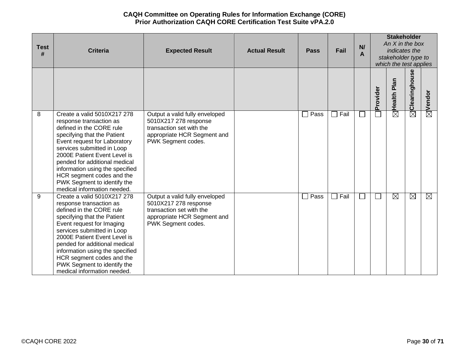| <b>Test</b><br># | <b>Criteria</b>                                                                                                                                                                                                                                                                                                                                                                | <b>Expected Result</b>                                                                                                                   | <b>Actual Result</b> | <b>Pass</b>          | Fail | <b>Stakeholder</b><br>An $X$ in the box<br>N/<br>indicates the<br>A<br>stakeholder type to<br>which the test applies |              |                |                        |                        |
|------------------|--------------------------------------------------------------------------------------------------------------------------------------------------------------------------------------------------------------------------------------------------------------------------------------------------------------------------------------------------------------------------------|------------------------------------------------------------------------------------------------------------------------------------------|----------------------|----------------------|------|----------------------------------------------------------------------------------------------------------------------|--------------|----------------|------------------------|------------------------|
|                  |                                                                                                                                                                                                                                                                                                                                                                                |                                                                                                                                          |                      |                      |      |                                                                                                                      | Provider     | Plan<br>Health | Clearinghouse          | Vendor                 |
| 8                | Create a valid 5010X217 278<br>response transaction as<br>defined in the CORE rule<br>specifying that the Patient<br>Event request for Laboratory<br>services submitted in Loop<br>2000E Patient Event Level is<br>pended for additional medical<br>information using the specified<br>HCR segment codes and the<br>PWK Segment to identify the<br>medical information needed. | Output a valid fully enveloped<br>5010X217 278 response<br>transaction set with the<br>appropriate HCR Segment and<br>PWK Segment codes. |                      | Pass<br>$\mathsf{L}$ | Fail |                                                                                                                      |              | $\boxtimes$    | $\overline{\boxtimes}$ | $\overline{\boxtimes}$ |
| 9                | Create a valid 5010X217 278<br>response transaction as<br>defined in the CORE rule<br>specifying that the Patient<br>Event request for Imaging<br>services submitted in Loop<br>2000E Patient Event Level is<br>pended for additional medical<br>information using the specified<br>HCR segment codes and the<br>PWK Segment to identify the<br>medical information needed.    | Output a valid fully enveloped<br>5010X217 278 response<br>transaction set with the<br>appropriate HCR Segment and<br>PWK Segment codes. |                      | Pass<br>$\perp$      | Fail | $\sim$                                                                                                               | $\mathbf{L}$ | $\boxtimes$    | $\boxtimes$            | ⊠                      |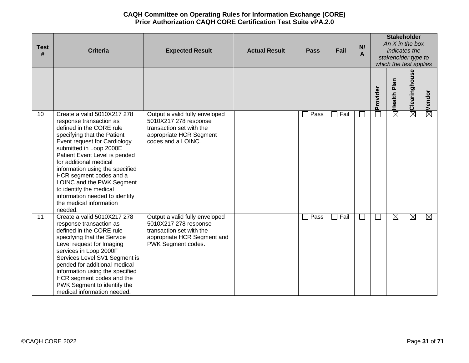| <b>Test</b><br># | <b>Criteria</b>                                                                                                                                                                                                                                                                                                                                                                                                                       | <b>Expected Result</b>                                                                                                                   | <b>Actual Result</b> | <b>Pass</b>            | Fail | N/<br>A | <b>Stakeholder</b><br>An $X$ in the box<br>indicates the<br>stakeholder type to<br>which the test applies |                        |                           |                    |
|------------------|---------------------------------------------------------------------------------------------------------------------------------------------------------------------------------------------------------------------------------------------------------------------------------------------------------------------------------------------------------------------------------------------------------------------------------------|------------------------------------------------------------------------------------------------------------------------------------------|----------------------|------------------------|------|---------|-----------------------------------------------------------------------------------------------------------|------------------------|---------------------------|--------------------|
|                  |                                                                                                                                                                                                                                                                                                                                                                                                                                       |                                                                                                                                          |                      |                        |      |         | Provider                                                                                                  | Plan<br>Health         | $\boxtimes$ Clearinghouse | $\boxtimes$ Vendor |
| 10               | Create a valid 5010X217 278<br>response transaction as<br>defined in the CORE rule<br>specifying that the Patient<br>Event request for Cardiology<br>submitted in Loop 2000E<br>Patient Event Level is pended<br>for additional medical<br>information using the specified<br>HCR segment codes and a<br>LOINC and the PWK Segment<br>to identify the medical<br>information needed to identify<br>the medical information<br>needed. | Output a valid fully enveloped<br>5010X217 278 response<br>transaction set with the<br>appropriate HCR Segment<br>codes and a LOINC.     |                      | Pass<br>$\mathcal{L}$  | Fail | ⊔       |                                                                                                           | $\overline{\boxtimes}$ |                           |                    |
| 11               | Create a valid 5010X217 278<br>response transaction as<br>defined in the CORE rule<br>specifying that the Service<br>Level request for Imaging<br>services in Loop 2000F<br>Services Level SV1 Segment is<br>pended for additional medical<br>information using the specified<br>HCR segment codes and the<br>PWK Segment to identify the<br>medical information needed.                                                              | Output a valid fully enveloped<br>5010X217 278 response<br>transaction set with the<br>appropriate HCR Segment and<br>PWK Segment codes. |                      | Pass<br>$\blacksquare$ | Fail | ⊔       | ⊔                                                                                                         | $\boxtimes$            | $\boxtimes$               | $\boxtimes$        |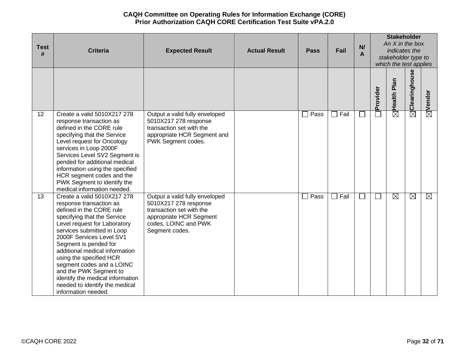| <b>Test</b><br># | <b>Criteria</b>                                                                                                                                                                                                                                                                                                                                                                                                                                       | <b>Expected Result</b>                                                                                                                                   | <b>Actual Result</b> | <b>Pass</b>            | Fail | N/<br>A |          | <b>Stakeholder</b><br>An $X$ in the box<br>indicates the<br>stakeholder type to<br>which the test applies |                           |                    |  |
|------------------|-------------------------------------------------------------------------------------------------------------------------------------------------------------------------------------------------------------------------------------------------------------------------------------------------------------------------------------------------------------------------------------------------------------------------------------------------------|----------------------------------------------------------------------------------------------------------------------------------------------------------|----------------------|------------------------|------|---------|----------|-----------------------------------------------------------------------------------------------------------|---------------------------|--------------------|--|
|                  |                                                                                                                                                                                                                                                                                                                                                                                                                                                       |                                                                                                                                                          |                      |                        |      |         | Provider | Plan<br><b>Health</b>                                                                                     | $\boxtimes$ Clearinghouse | $\boxtimes$ Vendor |  |
| 12               | Create a valid 5010X217 278<br>response transaction as<br>defined in the CORE rule<br>specifying that the Service<br>Level request for Oncology<br>services in Loop 2000F<br>Services Level SV2 Segment is<br>pended for additional medical<br>information using the specified<br>HCR segment codes and the<br>PWK Segment to identify the<br>medical information needed.                                                                             | Output a valid fully enveloped<br>5010X217 278 response<br>transaction set with the<br>appropriate HCR Segment and<br>PWK Segment codes.                 |                      | $\Box$ Pass            | Fail | ×       |          | $\overline{\boxtimes}$                                                                                    |                           |                    |  |
| 13               | Create a valid 5010X217 278<br>response transaction as<br>defined in the CORE rule<br>specifying that the Service<br>Level request for Laboratory<br>services submitted in Loop<br>2000F Services Level SV1<br>Segment is pended for<br>additional medical information<br>using the specified HCR<br>segment codes and a LOINC<br>and the PWK Segment to<br>identify the medical information<br>needed to identify the medical<br>information needed. | Output a valid fully enveloped<br>5010X217 278 response<br>transaction set with the<br>appropriate HCR Segment<br>codes, LOINC and PWK<br>Segment codes. |                      | Pass<br>$\blacksquare$ | Fail |         | $\Box$   | $\boxtimes$                                                                                               | ⊠                         | $\boxtimes$        |  |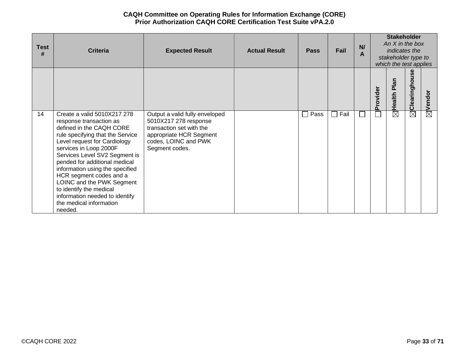| <b>Test</b><br># | <b>Criteria</b>                                                                                                                                                                                                                                                                                                                                                                                                                                  | <b>Expected Result</b>                                                                                                                                   | <b>Actual Result</b> | <b>Pass</b>            | Fail | N<br>А |          | <b>Stakeholder</b><br>An $X$ in the box<br>indicates the<br>stakeholder type to<br>which the test applies |               |             |
|------------------|--------------------------------------------------------------------------------------------------------------------------------------------------------------------------------------------------------------------------------------------------------------------------------------------------------------------------------------------------------------------------------------------------------------------------------------------------|----------------------------------------------------------------------------------------------------------------------------------------------------------|----------------------|------------------------|------|--------|----------|-----------------------------------------------------------------------------------------------------------|---------------|-------------|
|                  |                                                                                                                                                                                                                                                                                                                                                                                                                                                  |                                                                                                                                                          |                      |                        |      |        | Provider | Plan<br>Health                                                                                            | Clearinghouse | ndor<br>قع  |
| 14               | Create a valid 5010X217 278<br>response transaction as<br>defined in the CAQH CORE<br>rule specifying that the Service<br>Level request for Cardiology<br>services in Loop 2000F<br>Services Level SV2 Segment is<br>pended for additional medical<br>information using the specified<br>HCR segment codes and a<br>LOINC and the PWK Segment<br>to identify the medical<br>information needed to identify<br>the medical information<br>needed. | Output a valid fully enveloped<br>5010X217 278 response<br>transaction set with the<br>appropriate HCR Segment<br>codes, LOINC and PWK<br>Segment codes. |                      | Pass<br>$\blacksquare$ | Fail |        |          | $\boxtimes$                                                                                               | $\boxtimes$   | $\boxtimes$ |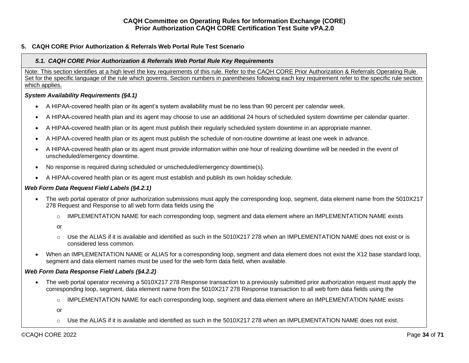## <span id="page-33-1"></span><span id="page-33-0"></span>**5. CAQH CORE Prior Authorization & Referrals Web Portal Rule Test Scenario**

## *5.1. CAQH CORE Prior Authorization & Referrals Web Portal Rule Key Requirements*

Note: This section identifies at a high level the key requirements of this rule. Refer to the CAQH CORE Prior Authorization & Referrals Operating Rule Set for the specific language of the rule which governs. Section numbers in parentheses following each key requirement refer to the specific rule section which applies.

## *System Availability Requirements (§4.1)*

- A HIPAA-covered health plan or its agent's system availability must be no less than 90 percent per calendar week.
- A HIPAA-covered health plan and its agent may choose to use an additional 24 hours of scheduled system downtime per calendar quarter.
- A HIPAA-covered health plan or its agent must publish their regularly scheduled system downtime in an appropriate manner.
- A HIPAA-covered health plan or its agent must publish the schedule of non-routine downtime at least one week in advance.
- A HIPAA-covered health plan or its agent must provide information within one hour of realizing downtime will be needed in the event of unscheduled/emergency downtime.
- No response is required during scheduled or unscheduled/emergency downtime(s).
- A HIPAA-covered health plan or its agent must establish and publish its own holiday schedule.

## *Web Form Data Request Field Labels (§4.2.1)*

- The web portal operator of prior authorization submissions must apply the corresponding loop, segment, data element name from the 5010X217 278 Request and Response to all web form data fields using the
	- o IMPLEMENTATION NAME for each corresponding loop, segment and data element where an IMPLEMENTATION NAME exists
	- or
	- $\circ$  Use the ALIAS if it is available and identified as such in the 5010X217 278 when an IMPLEMENTATION NAME does not exist or is considered less common.
- When an IMPLEMENTATION NAME or ALIAS for a corresponding loop, segment and data element does not exist the X12 base standard loop, segment and data element names must be used for the web form data field, when available.

## *Web Form Data Response Field Labels (§4.2.2)*

- The web portal operator receiving a 5010X217 278 Response transaction to a previously submitted prior authorization request must apply the corresponding loop, segment, data element name from the 5010X217 278 Response transaction to all web form data fields using the
	- o IMPLEMENTATION NAME for each corresponding loop, segment and data element where an IMPLEMENTATION NAME exists

or

 $\circ$  Use the ALIAS if it is available and identified as such in the 5010X217 278 when an IMPLEMENTATION NAME does not exist.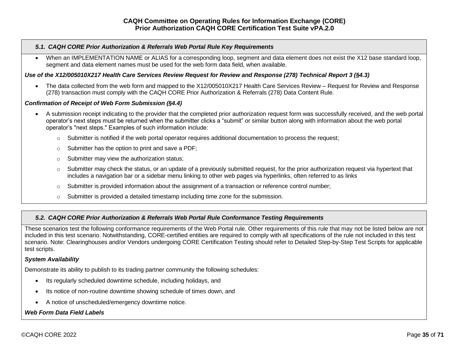#### *5.1. CAQH CORE Prior Authorization & Referrals Web Portal Rule Key Requirements*

• When an IMPLEMENTATION NAME or ALIAS for a corresponding loop, segment and data element does not exist the X12 base standard loop, segment and data element names must be used for the web form data field, when available.

### *Use of the X12/005010X217 Health Care Services Review Request for Review and Response (278) Technical Report 3 (§4.3)*

• The data collected from the web form and mapped to the X12/005010X217 Health Care Services Review – Request for Review and Response (278) transaction must comply with the CAQH CORE Prior Authorization & Referrals (278) Data Content Rule.

#### *Confirmation of Receipt of Web Form Submission (§4.4)*

- A submission receipt indicating to the provider that the completed prior authorization request form was successfully received, and the web portal operator's next steps must be returned when the submitter clicks a "submit" or similar button along with information about the web portal operator's "next steps." Examples of such information include:
	- o Submitter is notified if the web portal operator requires additional documentation to process the request;
	- o Submitter has the option to print and save a PDF;
	- o Submitter may view the authorization status;
	- $\circ$  Submitter may check the status, or an update of a previously submitted request, for the prior authorization request via hypertext that includes a navigation bar or a sidebar menu linking to other web pages via hyperlinks, often referred to as links
	- $\circ$  Submitter is provided information about the assignment of a transaction or reference control number;
	- $\circ$  Submitter is provided a detailed timestamp including time zone for the submission.

#### <span id="page-34-0"></span>*5.2. CAQH CORE Prior Authorization & Referrals Web Portal Rule Conformance Testing Requirements*

These scenarios test the following conformance requirements of the Web Portal rule. Other requirements of this rule that may not be listed below are not included in this test scenario. Notwithstanding, CORE-certified entities are required to comply with all specifications of the rule not included in this test scenario. Note: Clearinghouses and/or Vendors undergoing CORE Certification Testing should refer to Detailed Step-by-Step Test Scripts for applicable test scripts.

#### *System Availability*

Demonstrate its ability to publish to its trading partner community the following schedules:

- Its regularly scheduled downtime schedule, including holidays, and
- Its notice of non-routine downtime showing schedule of times down, and
- A notice of unscheduled/emergency downtime notice.

#### *Web Form Data Field Labels*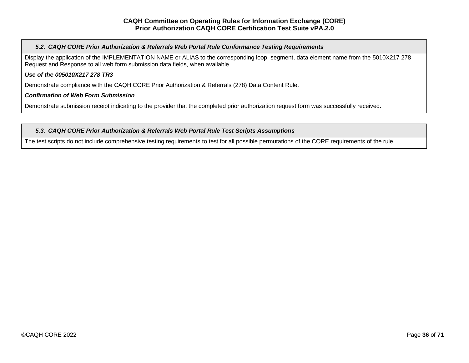## *5.2. CAQH CORE Prior Authorization & Referrals Web Portal Rule Conformance Testing Requirements*

Display the application of the IMPLEMENTATION NAME or ALIAS to the corresponding loop, segment, data element name from the 5010X217 278 Request and Response to all web form submission data fields, when available.

## *Use of the 005010X217 278 TR3*

Demonstrate compliance with the CAQH CORE Prior Authorization & Referrals (278) Data Content Rule.

#### *Confirmation of Web Form Submission*

Demonstrate submission receipt indicating to the provider that the completed prior authorization request form was successfully received.

#### <span id="page-35-0"></span>*5.3. CAQH CORE Prior Authorization & Referrals Web Portal Rule Test Scripts Assumptions*

The test scripts do not include comprehensive testing requirements to test for all possible permutations of the CORE requirements of the rule.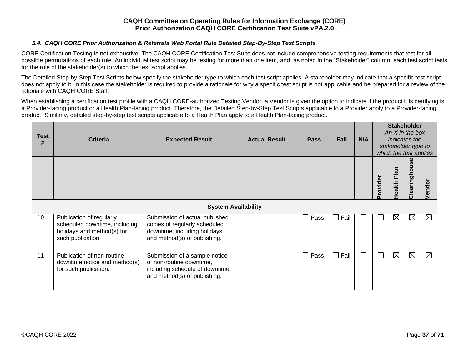## *5.4. CAQH CORE Prior Authorization & Referrals Web Portal Rule Detailed Step-By-Step Test Scripts*

<span id="page-36-0"></span>CORE Certification Testing is not exhaustive. The CAQH CORE Certification Test Suite does not include comprehensive testing requirements that test for all possible permutations of each rule. An individual test script may be testing for more than one item, and, as noted in the "Stakeholder" column, each test script tests for the role of the stakeholder(s) to which the test script applies.

The Detailed Step-by-Step Test Scripts below specify the stakeholder type to which each test script applies. A stakeholder may indicate that a specific test script does not apply to it. In this case the stakeholder is required to provide a rationale for why a specific test script is not applicable and be prepared for a review of the rationale with CAQH CORE Staff.

When establishing a certification test profile with a CAQH CORE-authorized Testing Vendor, a Vendor is given the option to indicate if the product it is certifying is a Provider-facing product or a Health Plan-facing product. Therefore, the Detailed Step-by-Step Test Scripts applicable to a Provider apply to a Provider-facing product. Similarly, detailed step-by-step test scripts applicable to a Health Plan apply to a Health Plan-facing product.

| <b>Test</b><br># | <b>Criteria</b>                                                                                              | <b>Expected Result</b>                                                                                                          | <b>Actual Result</b> | <b>Pass</b>          | Fail | N/A |          | <b>Stakeholder</b><br>An $X$ in the box<br>indicates the<br>stakeholder type to<br>which the test applies |               |             |  |
|------------------|--------------------------------------------------------------------------------------------------------------|---------------------------------------------------------------------------------------------------------------------------------|----------------------|----------------------|------|-----|----------|-----------------------------------------------------------------------------------------------------------|---------------|-------------|--|
|                  |                                                                                                              |                                                                                                                                 |                      |                      |      |     | Provider | Plan<br><b>Health</b>                                                                                     | Clearinghouse | /endor      |  |
|                  | <b>System Availability</b>                                                                                   |                                                                                                                                 |                      |                      |      |     |          |                                                                                                           |               |             |  |
| 10               | Publication of regularly<br>scheduled downtime, including<br>holidays and method(s) for<br>such publication. | Submission of actual published<br>copies of regularly scheduled<br>downtime, including holidays<br>and method(s) of publishing. |                      | Pass<br>$\mathbf{I}$ | Fail |     |          | $\boxtimes$                                                                                               | $\boxtimes$   | $\boxtimes$ |  |
| 11               | Publication of non-routine<br>downtime notice and method(s)<br>for such publication.                         | Submission of a sample notice<br>of non-routine downtime,<br>including schedule of downtime<br>and method(s) of publishing.     |                      | Pass<br>$\mathbf{I}$ | Fail |     |          | $\boxtimes$                                                                                               | $\boxtimes$   | $\boxtimes$ |  |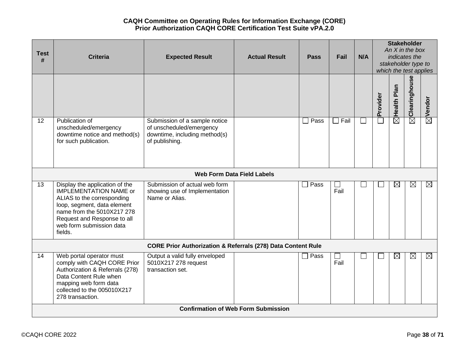|             |                                                                                                                                                                                                                                  |                                                                                                              |                                            |                       |             |     |          |                         | <b>Stakeholder</b>                            |                    |
|-------------|----------------------------------------------------------------------------------------------------------------------------------------------------------------------------------------------------------------------------------|--------------------------------------------------------------------------------------------------------------|--------------------------------------------|-----------------------|-------------|-----|----------|-------------------------|-----------------------------------------------|--------------------|
| <b>Test</b> |                                                                                                                                                                                                                                  |                                                                                                              |                                            |                       |             |     |          |                         | An $X$ in the box                             |                    |
| #           | <b>Criteria</b>                                                                                                                                                                                                                  | <b>Expected Result</b>                                                                                       | <b>Actual Result</b>                       | <b>Pass</b>           | Fail        | N/A |          |                         | indicates the                                 |                    |
|             |                                                                                                                                                                                                                                  |                                                                                                              |                                            |                       |             |     |          |                         | stakeholder type to<br>which the test applies |                    |
|             |                                                                                                                                                                                                                                  |                                                                                                              |                                            |                       |             |     |          |                         |                                               |                    |
|             |                                                                                                                                                                                                                                  |                                                                                                              |                                            |                       |             |     |          |                         | $\boxtimes$ Clearinghouse                     |                    |
|             |                                                                                                                                                                                                                                  |                                                                                                              |                                            |                       |             |     | Provider | $\boxtimes$ Health Plan |                                               | $\boxtimes$ Vendor |
| 12          | Publication of<br>unscheduled/emergency<br>downtime notice and method(s)<br>for such publication.                                                                                                                                | Submission of a sample notice<br>of unscheduled/emergency<br>downtime, including method(s)<br>of publishing. |                                            | Pass<br>$\mathcal{A}$ | $\Box$ Fail |     |          |                         |                                               |                    |
|             |                                                                                                                                                                                                                                  |                                                                                                              | <b>Web Form Data Field Labels</b>          |                       |             |     |          |                         |                                               |                    |
| 13          | Display the application of the<br><b>IMPLEMENTATION NAME or</b><br>ALIAS to the corresponding<br>loop, segment, data element<br>name from the 5010X217 278<br>Request and Response to all<br>web form submission data<br>fields. | Submission of actual web form<br>showing use of Implementation<br>Name or Alias.                             |                                            | Pass                  | Fail        |     |          | ⊠                       | $\boxtimes$                                   | $\boxtimes$        |
|             |                                                                                                                                                                                                                                  | <b>CORE Prior Authorization &amp; Referrals (278) Data Content Rule</b>                                      |                                            |                       |             |     |          |                         |                                               |                    |
| 14          | Web portal operator must<br>comply with CAQH CORE Prior<br>Authorization & Referrals (278)<br>Data Content Rule when<br>mapping web form data<br>collected to the 005010X217<br>278 transaction.                                 | Output a valid fully enveloped<br>5010X217 278 request<br>transaction set.                                   |                                            | $\Box$ Pass           | Fail        |     |          | ⊠                       | $\boxtimes$                                   | $\boxtimes$        |
|             |                                                                                                                                                                                                                                  |                                                                                                              | <b>Confirmation of Web Form Submission</b> |                       |             |     |          |                         |                                               |                    |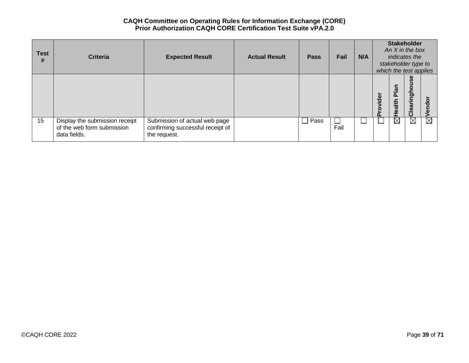| <b>Test</b><br># | <b>Criteria</b>                                                              | <b>Expected Result</b>                                                            | <b>Actual Result</b> | <b>Pass</b>    | Fail | N/A |         | <b>Stakeholder</b><br>An $X$ in the box<br>indicates the<br>stakeholder type to<br>which the test applies |               |              |
|------------------|------------------------------------------------------------------------------|-----------------------------------------------------------------------------------|----------------------|----------------|------|-----|---------|-----------------------------------------------------------------------------------------------------------|---------------|--------------|
|                  |                                                                              |                                                                                   |                      |                |      |     | rovider | $\overline{\mathbf{a}}$<br>൨<br>Health                                                                    | Clearinghouse | $\circ$<br>ъ |
| 15               | Display the submission receipt<br>of the web form submission<br>data fields. | Submission of actual web page<br>confirming successful receipt of<br>the request. |                      | Pass<br>$\sim$ | Fail |     |         | $\boxtimes$                                                                                               | ⊠             | ⊠            |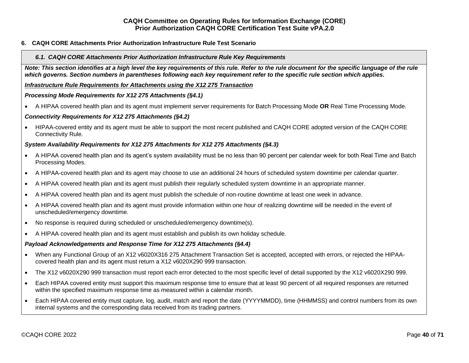## <span id="page-39-1"></span><span id="page-39-0"></span>**6. CAQH CORE Attachments Prior Authorization Infrastructure Rule Test Scenario**

#### *6.1. CAQH CORE Attachments Prior Authorization Infrastructure Rule Key Requirements*

*Note: This section identifies at a high level the key requirements of this rule. Refer to the rule document for the specific language of the rule which governs. Section numbers in parentheses following each key requirement refer to the specific rule section which applies.*

*Infrastructure Rule Requirements for Attachments using the X12 275 Transaction*

#### *Processing Mode Requirements for X12 275 Attachments (§4.1)*

• A HIPAA covered health plan and its agent must implement server requirements for Batch Processing Mode **OR** Real Time Processing Mode.

#### *Connectivity Requirements for X12 275 Attachments (§4.2)*

• HIPAA-covered entity and its agent must be able to support the most recent published and CAQH CORE adopted version of the CAQH CORE Connectivity Rule.

#### *System Availability Requirements for X12 275 Attachments for X12 275 Attachments (§4.3)*

- A HIPAA covered health plan and its agent's system availability must be no less than 90 percent per calendar week for both Real Time and Batch Processing Modes.
- A HIPAA-covered health plan and its agent may choose to use an additional 24 hours of scheduled system downtime per calendar quarter.
- A HIPAA covered health plan and its agent must publish their regularly scheduled system downtime in an appropriate manner.
- A HIPAA covered health plan and its agent must publish the schedule of non-routine downtime at least one week in advance.
- A HIPAA covered health plan and its agent must provide information within one hour of realizing downtime will be needed in the event of unscheduled/emergency downtime.
- No response is required during scheduled or unscheduled/emergency downtime(s).
- A HIPAA covered health plan and its agent must establish and publish its own holiday schedule.

#### *Payload Acknowledgements and Response Time for X12 275 Attachments (§4.4)*

- When any Functional Group of an X12 v6020X316 275 Attachment Transaction Set is accepted, accepted with errors, or rejected the HIPAAcovered health plan and its agent must return a X12 v6020X290 999 transaction.
- The X12 v6020X290 999 transaction must report each error detected to the most specific level of detail supported by the X12 v6020X290 999.
- Each HIPAA covered entity must support this maximum response time to ensure that at least 90 percent of all required responses are returned within the specified maximum response time as measured within a calendar month.
- Each HIPAA covered entity must capture, log, audit, match and report the date (YYYYMMDD), time (HHMMSS) and control numbers from its own internal systems and the corresponding data received from its trading partners.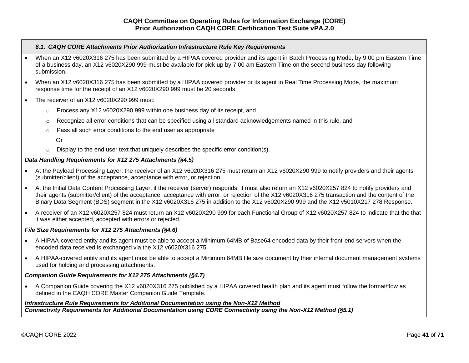#### *6.1. CAQH CORE Attachments Prior Authorization Infrastructure Rule Key Requirements*

- When an X12 v6020X316 275 has been submitted by a HIPAA covered provider and its agent in Batch Processing Mode, by 9:00 pm Eastern Time of a business day, an X12 v6020X290 999 must be available for pick up by 7:00 am Eastern Time on the second business day following submission.
- When an X12 v6020X316 275 has been submitted by a HIPAA covered provider or its agent in Real Time Processing Mode, the maximum response time for the receipt of an X12 v6020X290 999 must be 20 seconds.
- The receiver of an X12 v6020X290 999 must:
	- $\circ$  Process any X12 v6020X290 999 within one business day of its receipt, and
	- o Recognize all error conditions that can be specified using all standard acknowledgements named in this rule, and
	- o Pass all such error conditions to the end user as appropriate
		- Or
	- $\circ$  Display to the end user text that uniquely describes the specific error condition(s).

## *Data Handling Requirements for X12 275 Attachments (§4.5)*

- At the Payload Processing Layer, the receiver of an X12 v6020X316 275 must return an X12 v6020X290 999 to notify providers and their agents (submitter/client) of the acceptance, acceptance with error, or rejection.
- At the Initial Data Content Processing Layer, if the receiver (server) responds, it must also return an X12 v6020X257 824 to notify providers and their agents (submitter/client) of the acceptance, acceptance with error, or rejection of the X12 v6020X316 275 transaction and the content of the Binary Data Segment (BDS) segment in the X12 v6020X316 275 in addition to the X12 v6020X290 999 and the X12 v5010X217 278 Response.
- A receiver of an X12 v6020X257 824 must return an X12 v6020X290 999 for each Functional Group of X12 v6020X257 824 to indicate that the that it was either accepted, accepted with errors or rejected.

#### *File Size Requirements for X12 275 Attachments (§4.6)*

- A HIPAA-covered entity and its agent must be able to accept a Minimum 64MB of Base64 encoded data by their front-end servers when the encoded data received is exchanged via the X12 v6020X316 275.
- A HIPAA-covered entity and its agent must be able to accept a Minimum 64MB file size document by their internal document management systems used for holding and processing attachments.

## *Companion Guide Requirements for X12 275 Attachments (§4.7)*

• A Companion Guide covering the X12 v6020X316 275 published by a HIPAA covered health plan and its agent must follow the format/flow as defined in the CAQH CORE Master Companion Guide Template.

# *Infrastructure Rule Requirements for Additional Documentation using the Non-X12 Method Connectivity Requirements for Additional Documentation using CORE Connectivity using the Non-X12 Method (§5.1)*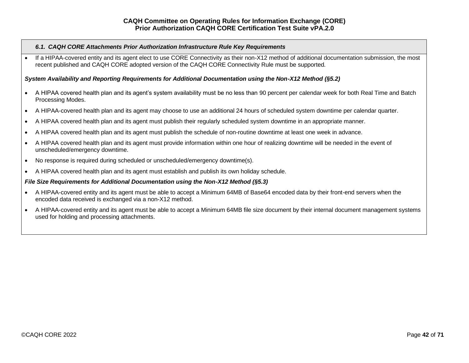#### *6.1. CAQH CORE Attachments Prior Authorization Infrastructure Rule Key Requirements*

If a HIPAA-covered entity and its agent elect to use CORE Connectivity as their non-X12 method of additional documentation submission, the most recent published and CAQH CORE adopted version of the CAQH CORE Connectivity Rule must be supported.

#### *System Availability and Reporting Requirements for Additional Documentation using the Non-X12 Method (§5.2)*

- A HIPAA covered health plan and its agent's system availability must be no less than 90 percent per calendar week for both Real Time and Batch Processing Modes.
- A HIPAA-covered health plan and its agent may choose to use an additional 24 hours of scheduled system downtime per calendar quarter.
- A HIPAA covered health plan and its agent must publish their regularly scheduled system downtime in an appropriate manner.
- A HIPAA covered health plan and its agent must publish the schedule of non-routine downtime at least one week in advance.
- A HIPAA covered health plan and its agent must provide information within one hour of realizing downtime will be needed in the event of unscheduled/emergency downtime.
- No response is required during scheduled or unscheduled/emergency downtime(s).
- A HIPAA covered health plan and its agent must establish and publish its own holiday schedule.

#### *File Size Requirements for Additional Documentation using the Non-X12 Method (§5.3)*

- A HIPAA-covered entity and its agent must be able to accept a Minimum 64MB of Base64 encoded data by their front-end servers when the encoded data received is exchanged via a non-X12 method.
- A HIPAA-covered entity and its agent must be able to accept a Minimum 64MB file size document by their internal document management systems used for holding and processing attachments.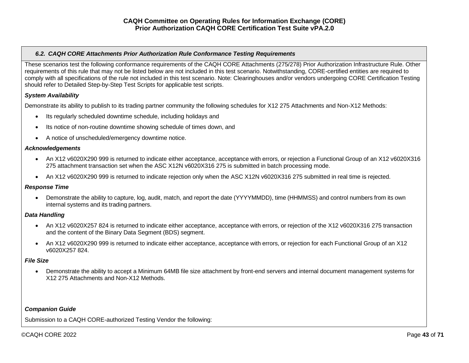## <span id="page-42-0"></span>*6.2. CAQH CORE Attachments Prior Authorization Rule Conformance Testing Requirements*

These scenarios test the following conformance requirements of the CAQH CORE Attachments (275/278) Prior Authorization Infrastructure Rule. Other requirements of this rule that may not be listed below are not included in this test scenario. Notwithstanding, CORE-certified entities are required to comply with all specifications of the rule not included in this test scenario. Note: Clearinghouses and/or vendors undergoing CORE Certification Testing should refer to Detailed Step-by-Step Test Scripts for applicable test scripts.

## *System Availability*

Demonstrate its ability to publish to its trading partner community the following schedules for X12 275 Attachments and Non-X12 Methods:

- Its regularly scheduled downtime schedule, including holidays and
- Its notice of non-routine downtime showing schedule of times down, and
- A notice of unscheduled/emergency downtime notice.

## *Acknowledgements*

- An X12 v6020X290 999 is returned to indicate either acceptance, acceptance with errors, or rejection a Functional Group of an X12 v6020X316 275 attachment transaction set when the ASC X12N v6020X316 275 is submitted in batch processing mode.
- An X12 v6020X290 999 is returned to indicate rejection only when the ASC X12N v6020X316 275 submitted in real time is rejected.

# *Response Time*

• Demonstrate the ability to capture, log, audit, match, and report the date (YYYYMMDD), time (HHMMSS) and control numbers from its own internal systems and its trading partners.

# *Data Handling*

- An X12 v6020X257 824 is returned to indicate either acceptance, acceptance with errors, or rejection of the X12 v6020X316 275 transaction and the content of the Binary Data Segment (BDS) segment.
- An X12 v6020X290 999 is returned to indicate either acceptance, acceptance with errors, or rejection for each Functional Group of an X12 v6020X257 824.

## *File Size*

• Demonstrate the ability to accept a Minimum 64MB file size attachment by front-end servers and internal document management systems for X12 275 Attachments and Non-X12 Methods.

## *Companion Guide*

Submission to a CAQH CORE-authorized Testing Vendor the following: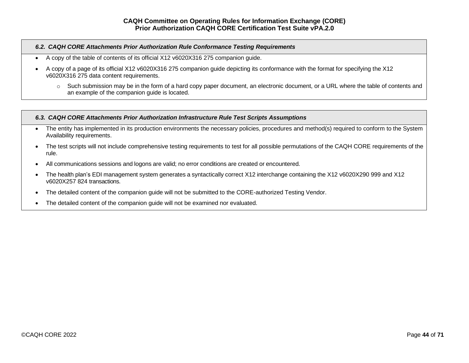## *6.2. CAQH CORE Attachments Prior Authorization Rule Conformance Testing Requirements*

- A copy of the table of contents of its official X12 v6020X316 275 companion guide.
- A copy of a page of its official X12 v6020X316 275 companion guide depicting its conformance with the format for specifying the X12 v6020X316 275 data content requirements.
	- o Such submission may be in the form of a hard copy paper document, an electronic document, or a URL where the table of contents and an example of the companion guide is located.

## <span id="page-43-0"></span>*6.3. CAQH CORE Attachments Prior Authorization Infrastructure Rule Test Scripts Assumptions*

- The entity has implemented in its production environments the necessary policies, procedures and method(s) required to conform to the System Availability requirements.
- The test scripts will not include comprehensive testing requirements to test for all possible permutations of the CAQH CORE requirements of the rule.
- All communications sessions and logons are valid; no error conditions are created or encountered.
- The health plan's EDI management system generates a syntactically correct X12 interchange containing the X12 v6020X290 999 and X12 v6020X257 824 transactions.
- The detailed content of the companion quide will not be submitted to the CORE-authorized Testing Vendor.
- The detailed content of the companion guide will not be examined nor evaluated.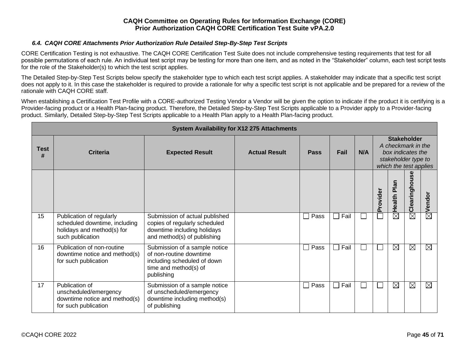## *6.4. CAQH CORE Attachments Prior Authorization Rule Detailed Step-By-Step Test Scripts*

<span id="page-44-0"></span>CORE Certification Testing is not exhaustive. The CAQH CORE Certification Test Suite does not include comprehensive testing requirements that test for all possible permutations of each rule. An individual test script may be testing for more than one item, and as noted in the "Stakeholder" column, each test script tests for the role of the Stakeholder(s) to which the test script applies.

The Detailed Step-by-Step Test Scripts below specify the stakeholder type to which each test script applies. A stakeholder may indicate that a specific test script does not apply to it. In this case the stakeholder is required to provide a rationale for why a specific test script is not applicable and be prepared for a review of the rationale with CAQH CORE staff.

When establishing a Certification Test Profile with a CORE-authorized Testing Vendor a Vendor will be given the option to indicate if the product it is certifying is a Provider-facing product or a Health Plan-facing product. Therefore, the Detailed Step-by-Step Test Scripts applicable to a Provider apply to a Provider-facing product. Similarly, Detailed Step-by-Step Test Scripts applicable to a Health Plan apply to a Health Plan-facing product.

|                  |                                                                                                             |                                                                                                                                | <b>System Availability for X12 275 Attachments</b> |             |      |     |          |                                                                                                                |               |             |
|------------------|-------------------------------------------------------------------------------------------------------------|--------------------------------------------------------------------------------------------------------------------------------|----------------------------------------------------|-------------|------|-----|----------|----------------------------------------------------------------------------------------------------------------|---------------|-------------|
| <b>Test</b><br># | <b>Criteria</b>                                                                                             | <b>Expected Result</b>                                                                                                         | <b>Actual Result</b>                               | <b>Pass</b> | Fail | N/A |          | <b>Stakeholder</b><br>A checkmark in the<br>box indicates the<br>stakeholder type to<br>which the test applies |               |             |
|                  |                                                                                                             |                                                                                                                                |                                                    |             |      |     | Provider | Plan<br>Health                                                                                                 | Clearinghouse | Vendor      |
| 15               | Publication of regularly<br>scheduled downtime, including<br>holidays and method(s) for<br>such publication | Submission of actual published<br>copies of regularly scheduled<br>downtime including holidays<br>and method(s) of publishing  |                                                    | Pass        | Fail |     |          | $\boxtimes$                                                                                                    | $\boxtimes$   | $\boxtimes$ |
| 16               | Publication of non-routine<br>downtime notice and method(s)<br>for such publication                         | Submission of a sample notice<br>of non-routine downtime<br>including scheduled of down<br>time and method(s) of<br>publishing |                                                    | Pass        | Fail |     |          | $\boxtimes$                                                                                                    | $\boxtimes$   | $\boxtimes$ |
| 17               | Publication of<br>unscheduled/emergency<br>downtime notice and method(s)<br>for such publication            | Submission of a sample notice<br>of unscheduled/emergency<br>downtime including method(s)<br>of publishing                     |                                                    | Pass<br>l.  | Fail |     |          | $\boxtimes$                                                                                                    | $\boxtimes$   | $\boxtimes$ |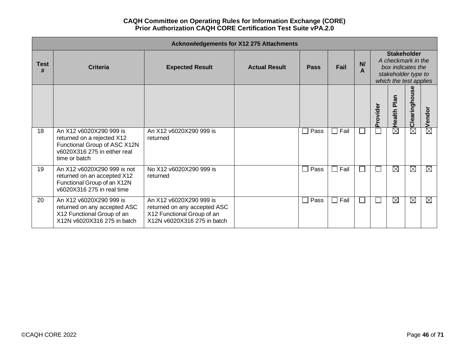|                  |                                                                                                                                        |                                                                                                                      | <b>Acknowledgements for X12 275 Attachments</b> |                           |                 |                          |          |                                                                                                                |               |             |  |  |
|------------------|----------------------------------------------------------------------------------------------------------------------------------------|----------------------------------------------------------------------------------------------------------------------|-------------------------------------------------|---------------------------|-----------------|--------------------------|----------|----------------------------------------------------------------------------------------------------------------|---------------|-------------|--|--|
| <b>Test</b><br># | Criteria                                                                                                                               | <b>Expected Result</b>                                                                                               | <b>Actual Result</b>                            | Pass                      | Fail            | N<br>Α                   |          | <b>Stakeholder</b><br>A checkmark in the<br>box indicates the<br>stakeholder type to<br>which the test applies |               |             |  |  |
|                  |                                                                                                                                        |                                                                                                                      |                                                 |                           |                 |                          | Provider | Plan<br>Health                                                                                                 | Clearinghouse | Vendor      |  |  |
| 18               | An X12 v6020X290 999 is<br>returned on a rejected X12<br>Functional Group of ASC X12N<br>v6020X316 275 in either real<br>time or batch | An X12 v6020X290 999 is<br>returned                                                                                  |                                                 | Pass<br>$\vert \ \ \vert$ | $\Box$ Fail     | $\overline{\phantom{a}}$ |          | $\boxtimes$                                                                                                    | $\boxtimes$   | $\boxtimes$ |  |  |
| 19               | An X12 v6020X290 999 is not<br>returned on an accepted X12<br>Functional Group of an X12N<br>v6020X316 275 in real time                | No X12 v6020X290 999 is<br>returned                                                                                  |                                                 | Pass<br>$\vert \ \ \vert$ | Fail<br>$\perp$ | $\mathbf{I}$             |          | $\boxtimes$                                                                                                    | $\boxtimes$   | ⊠           |  |  |
| 20               | An X12 v6020X290 999 is<br>returned on any accepted ASC<br>X12 Functional Group of an<br>X12N v6020X316 275 in batch                   | An X12 v6020X290 999 is<br>returned on any accepted ASC<br>X12 Functional Group of an<br>X12N v6020X316 275 in batch |                                                 | Pass<br>$\Box$            | $\Box$ Fail     | $\mathcal{L}$            |          | $\boxtimes$                                                                                                    | $\boxtimes$   | ⊠           |  |  |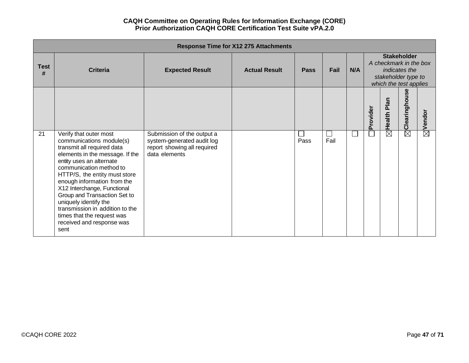|                  |                                                                                                                                                                                                                                                                                                                                                                                                                                          |                                                                                                          | <b>Response Time for X12 275 Attachments</b> |      |      |     |          |                        |                                                                                                                |                    |
|------------------|------------------------------------------------------------------------------------------------------------------------------------------------------------------------------------------------------------------------------------------------------------------------------------------------------------------------------------------------------------------------------------------------------------------------------------------|----------------------------------------------------------------------------------------------------------|----------------------------------------------|------|------|-----|----------|------------------------|----------------------------------------------------------------------------------------------------------------|--------------------|
| <b>Test</b><br># | <b>Criteria</b>                                                                                                                                                                                                                                                                                                                                                                                                                          | <b>Expected Result</b>                                                                                   | <b>Actual Result</b>                         | Pass | Fail | N/A |          |                        | <b>Stakeholder</b><br>A checkmark in the box<br>indicates the<br>stakeholder type to<br>which the test applies |                    |
|                  |                                                                                                                                                                                                                                                                                                                                                                                                                                          |                                                                                                          |                                              |      |      |     | Provider | Health Plan            | Clearinghouse                                                                                                  | $\boxtimes$ Vendor |
| 21               | Verify that outer most<br>communications module(s)<br>transmit all required data<br>elements in the message. If the<br>entity uses an alternate<br>communication method to<br>HTTP/S, the entity must store<br>enough information from the<br>X12 Interchange, Functional<br>Group and Transaction Set to<br>uniquely identify the<br>transmission in addition to the<br>times that the request was<br>received and response was<br>sent | Submission of the output a<br>system-generated audit log<br>report showing all required<br>data elements |                                              | Pass | Fail |     |          | $\overline{\boxtimes}$ | $\overline{\boxtimes}$                                                                                         |                    |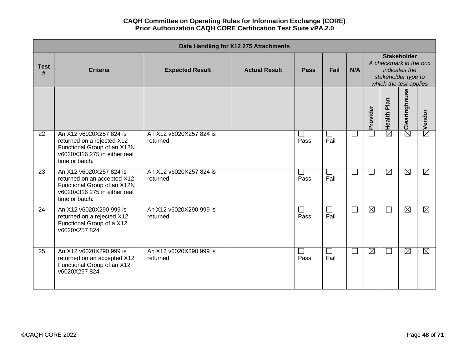|                  |                                                                                                                                         |                                     | Data Handling for X12 275 Attachments |             |                      |        |             |                                                                                                                |                   |                    |  |
|------------------|-----------------------------------------------------------------------------------------------------------------------------------------|-------------------------------------|---------------------------------------|-------------|----------------------|--------|-------------|----------------------------------------------------------------------------------------------------------------|-------------------|--------------------|--|
| <b>Test</b><br># | <b>Criteria</b>                                                                                                                         | <b>Expected Result</b>              | <b>Actual Result</b>                  | <b>Pass</b> | Fail                 | N/A    |             | <b>Stakeholder</b><br>A checkmark in the box<br>indicates the<br>stakeholder type to<br>which the test applies |                   |                    |  |
|                  |                                                                                                                                         |                                     |                                       |             |                      |        | Provider    | Health Plan                                                                                                    | Clearinghouse     | $\boxtimes$ Vendor |  |
| 22               | An X12 v6020X257 824 is<br>returned on a rejected X12<br>Functional Group of an X12N<br>v6020X316 275 in either real<br>time or batch.  | An X12 v6020X257 824 is<br>returned |                                       | Pass        | $\perp$<br>Fail      | $\Box$ |             | $\overline{\boxtimes}$                                                                                         | $\bar{\boxtimes}$ |                    |  |
| $\overline{23}$  | An X12 v6020X257 824 is<br>returned on an accepted X12<br>Functional Group of an X12N<br>v6020X316 275 in either real<br>time or batch. | An X12 v6020X257 824 is<br>returned |                                       | Pass        | $\perp$<br>Fail      | П      | $\sim$      | $\boxtimes$                                                                                                    | $\boxtimes$       | $\boxtimes$        |  |
| 24               | An X12 v6020X290 999 is<br>returned on a rejected X12<br>Functional Group of a X12<br>v6020X257824.                                     | An X12 v6020X290 999 is<br>returned |                                       | Pass        | $\Box$<br>Fail       | $\Box$ | $\boxtimes$ | $\overline{\phantom{0}}$                                                                                       | $\boxtimes$       | $\boxtimes$        |  |
| 25               | An X12 v6020X290 999 is<br>returned on an accepted X12<br>Functional Group of an X12<br>v6020X257824.                                   | An X12 v6020X290 999 is<br>returned |                                       | Pass        | $\mathsf{L}$<br>Fail | $\Box$ | ⊠           | ⊔                                                                                                              | $\boxtimes$       | $\boxtimes$        |  |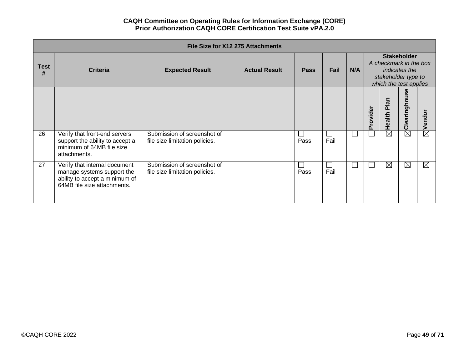|                  |                                                                                                                              |                                                               | File Size for X12 275 Attachments |             |                |     |          |                                                                                                                       |                              |                    |  |  |
|------------------|------------------------------------------------------------------------------------------------------------------------------|---------------------------------------------------------------|-----------------------------------|-------------|----------------|-----|----------|-----------------------------------------------------------------------------------------------------------------------|------------------------------|--------------------|--|--|
| <b>Test</b><br># | <b>Criteria</b>                                                                                                              | <b>Expected Result</b>                                        | <b>Actual Result</b>              | <b>Pass</b> | Fail           | N/A |          | <b>Stakeholder</b><br>A checkmark in the box<br><i>indicates the</i><br>stakeholder type to<br>which the test applies |                              |                    |  |  |
|                  |                                                                                                                              |                                                               |                                   |             |                |     | Provider | Plan<br>Health                                                                                                        | ω<br><b>in</b><br>Clearingho | $\boxtimes$ Vendor |  |  |
| 26               | Verify that front-end servers<br>support the ability to accept a<br>minimum of 64MB file size<br>attachments.                | Submission of screenshot of<br>file size limitation policies. |                                   | Pass        | $\Box$<br>Fail |     |          | $\overline{\boxtimes}$                                                                                                | $\boxtimes$                  |                    |  |  |
| 27               | Verify that internal document<br>manage systems support the<br>ability to accept a minimum of<br>64MB file size attachments. | Submission of screenshot of<br>file size limitation policies. |                                   | Pass        | $\Box$<br>Fail |     |          | $\boxtimes$                                                                                                           | ⊠                            | $\boxtimes$        |  |  |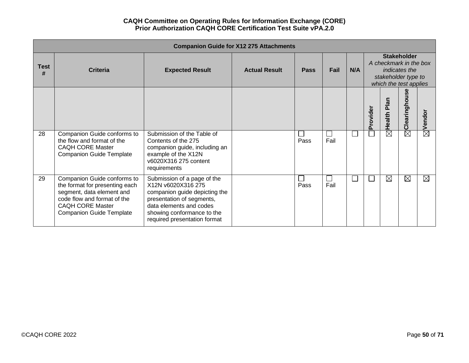|                  |                                                                                                                                                                                         |                                                                                                                                                                                                          | <b>Companion Guide for X12 275 Attachments</b> |             |      |     |          |                                                                         |                                     |                        |
|------------------|-----------------------------------------------------------------------------------------------------------------------------------------------------------------------------------------|----------------------------------------------------------------------------------------------------------------------------------------------------------------------------------------------------------|------------------------------------------------|-------------|------|-----|----------|-------------------------------------------------------------------------|-------------------------------------|------------------------|
| <b>Test</b><br># | <b>Criteria</b>                                                                                                                                                                         | <b>Expected Result</b>                                                                                                                                                                                   | <b>Actual Result</b>                           | <b>Pass</b> | Fail | N/A |          | A checkmark in the box<br>stakeholder type to<br>which the test applies | <b>Stakeholder</b><br>indicates the |                        |
|                  |                                                                                                                                                                                         |                                                                                                                                                                                                          |                                                |             |      |     | Provider | Health Plan                                                             | <b>Se</b><br>Clearinghou            | $\boxtimes$ Vendor     |
| 28               | Companion Guide conforms to<br>the flow and format of the<br><b>CAQH CORE Master</b><br><b>Companion Guide Template</b>                                                                 | Submission of the Table of<br>Contents of the 275<br>companion guide, including an<br>example of the X12N<br>v6020X316 275 content<br>requirements                                                       |                                                | Pass        | Fail |     |          | $\overline{\boxtimes}$                                                  | $\overline{\boxtimes}$              |                        |
| 29               | Companion Guide conforms to<br>the format for presenting each<br>segment, data element and<br>code flow and format of the<br><b>CAQH CORE Master</b><br><b>Companion Guide Template</b> | Submission of a page of the<br>X12N v6020X316 275<br>companion guide depicting the<br>presentation of segments,<br>data elements and codes<br>showing conformance to the<br>required presentation format |                                                | Pass        | Fail |     |          | $\boxtimes$                                                             | ⊠                                   | $\overline{\boxtimes}$ |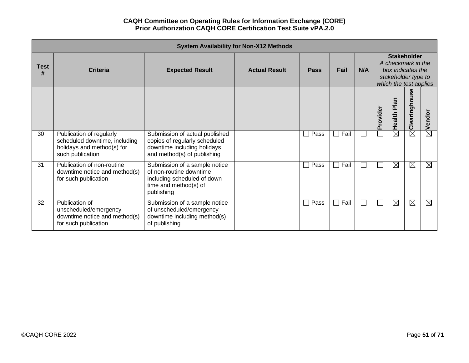|                  |                                                                                                             |                                                                                                                                | <b>System Availability for Non-X12 Methods</b> |             |      |     |          |                                                                                                                |                        |             |  |
|------------------|-------------------------------------------------------------------------------------------------------------|--------------------------------------------------------------------------------------------------------------------------------|------------------------------------------------|-------------|------|-----|----------|----------------------------------------------------------------------------------------------------------------|------------------------|-------------|--|
| <b>Test</b><br># | <b>Criteria</b>                                                                                             | <b>Expected Result</b>                                                                                                         | <b>Actual Result</b>                           | <b>Pass</b> | Fail | N/A |          | <b>Stakeholder</b><br>A checkmark in the<br>box indicates the<br>stakeholder type to<br>which the test applies |                        |             |  |
|                  |                                                                                                             |                                                                                                                                |                                                |             |      |     | Provider | Plan<br>Health                                                                                                 | Clearinghouse          | Vendor      |  |
| 30               | Publication of regularly<br>scheduled downtime, including<br>holidays and method(s) for<br>such publication | Submission of actual published<br>copies of regularly scheduled<br>downtime including holidays<br>and method(s) of publishing  |                                                | Pass        | Fail |     |          | $\times$                                                                                                       | $\overline{\boxtimes}$ | $\boxtimes$ |  |
| 31               | Publication of non-routine<br>downtime notice and method(s)<br>for such publication                         | Submission of a sample notice<br>of non-routine downtime<br>including scheduled of down<br>time and method(s) of<br>publishing |                                                | Pass        | Fail |     |          | $\boxtimes$                                                                                                    | $\boxtimes$            | $\boxtimes$ |  |
| 32               | Publication of<br>unscheduled/emergency<br>downtime notice and method(s)<br>for such publication            | Submission of a sample notice<br>of unscheduled/emergency<br>downtime including method(s)<br>of publishing                     |                                                | Pass        | Fail |     |          | $\boxtimes$                                                                                                    | ⊠                      | $\boxtimes$ |  |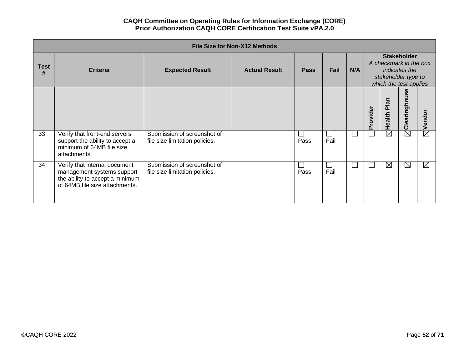|                  |                                                                                                                                  |                                                               | <b>File Size for Non-X12 Methods</b> |             |                      |     |          |                                                                                                                       |                               |                    |
|------------------|----------------------------------------------------------------------------------------------------------------------------------|---------------------------------------------------------------|--------------------------------------|-------------|----------------------|-----|----------|-----------------------------------------------------------------------------------------------------------------------|-------------------------------|--------------------|
| <b>Test</b><br># | <b>Criteria</b>                                                                                                                  | <b>Expected Result</b>                                        | <b>Actual Result</b>                 | <b>Pass</b> | Fail                 | N/A |          | <b>Stakeholder</b><br>A checkmark in the box<br><i>indicates the</i><br>stakeholder type to<br>which the test applies |                               |                    |
|                  |                                                                                                                                  |                                                               |                                      |             |                      |     | Provider | Plan<br>Health                                                                                                        | Φ<br><b>in</b><br>Clearinghor | $\boxtimes$ Vendor |
| 33               | Verify that front-end servers<br>support the ability to accept a<br>minimum of 64MB file size<br>attachments.                    | Submission of screenshot of<br>file size limitation policies. |                                      | Pass        | ΙI<br>Fail           |     |          | $\overline{\boxtimes}$                                                                                                | $\boxtimes$                   |                    |
| 34               | Verify that internal document<br>management systems support<br>the ability to accept a minimum<br>of 64MB file size attachments. | Submission of screenshot of<br>file size limitation policies. |                                      | Pass        | $\mathbf{L}$<br>Fail |     |          | ⊠                                                                                                                     | $\boxtimes$                   | $\boxtimes$        |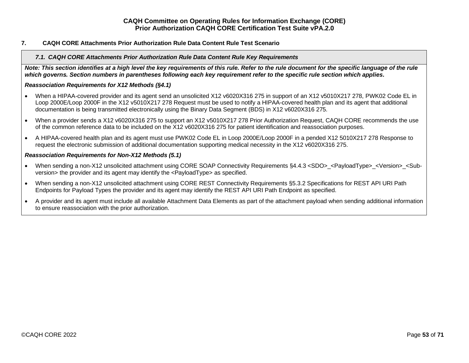## <span id="page-52-1"></span><span id="page-52-0"></span>**7. CAQH CORE Attachments Prior Authorization Rule Data Content Rule Test Scenario**

#### *7.1. CAQH CORE Attachments Prior Authorization Rule Data Content Rule Key Requirements*

*Note: This section identifies at a high level the key requirements of this rule. Refer to the rule document for the specific language of the rule which governs. Section numbers in parentheses following each key requirement refer to the specific rule section which applies.*

#### *Reassociation Requirements for X12 Methods (§4.1)*

- When a HIPAA-covered provider and its agent send an unsolicited X12 v6020X316 275 in support of an X12 v5010X217 278, PWK02 Code EL in Loop 2000E/Loop 2000F in the X12 v5010X217 278 Request must be used to notify a HIPAA-covered health plan and its agent that additional documentation is being transmitted electronically using the Binary Data Segment (BDS) in X12 v6020X316 275.
- When a provider sends a X12 v6020X316 275 to support an X12 v5010X217 278 Prior Authorization Request, CAQH CORE recommends the use of the common reference data to be included on the X12 v6020X316 275 for patient identification and reassociation purposes.
- A HIPAA-covered health plan and its agent must use PWK02 Code EL in Loop 2000E/Loop 2000F in a pended X12 5010X217 278 Response to request the electronic submission of additional documentation supporting medical necessity in the X12 v6020X316 275.

#### *Reassociation Requirements for Non-X12 Methods (5.1)*

- When sending a non-X12 unsolicited attachment using CORE SOAP Connectivity Requirements §4.4.3 <SDO> <PayloadType> <Version> <Subversion> the provider and its agent may identify the <PayloadType> as specified.
- When sending a non-X12 unsolicited attachment using CORE REST Connectivity Requirements §5.3.2 Specifications for REST API URI Path Endpoints for Payload Types the provider and its agent may identify the REST API URI Path Endpoint as specified.
- A provider and its agent must include all available Attachment Data Elements as part of the attachment payload when sending additional information to ensure reassociation with the prior authorization.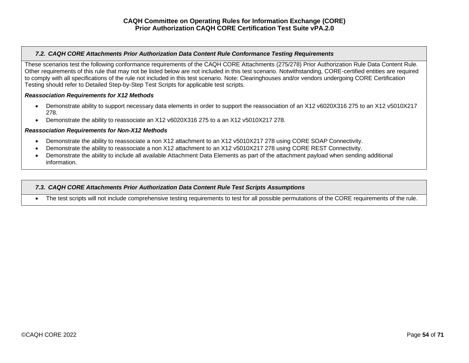## <span id="page-53-0"></span>*7.2. CAQH CORE Attachments Prior Authorization Data Content Rule Conformance Testing Requirements*

These scenarios test the following conformance requirements of the CAQH CORE Attachments (275/278) Prior Authorization Rule Data Content Rule. Other requirements of this rule that may not be listed below are not included in this test scenario. Notwithstanding, CORE-certified entities are required to comply with all specifications of the rule not included in this test scenario. Note: Clearinghouses and/or vendors undergoing CORE Certification Testing should refer to Detailed Step-by-Step Test Scripts for applicable test scripts.

#### *Reassociation Requirements for X12 Methods*

- Demonstrate ability to support necessary data elements in order to support the reassociation of an X12 v6020X316 275 to an X12 v5010X217 278.
- Demonstrate the ability to reassociate an X12 v6020X316 275 to a an X12 v5010X217 278.

#### *Reassociation Requirements for Non-X12 Methods*

- Demonstrate the ability to reassociate a non X12 attachment to an X12 v5010X217 278 using CORE SOAP Connectivity.
- Demonstrate the ability to reassociate a non X12 attachment to an X12 v5010X217 278 using CORE REST Connectivity.
- Demonstrate the ability to include all available Attachment Data Elements as part of the attachment payload when sending additional information.

#### <span id="page-53-1"></span>*7.3. CAQH CORE Attachments Prior Authorization Data Content Rule Test Scripts Assumptions*

• The test scripts will not include comprehensive testing requirements to test for all possible permutations of the CORE requirements of the rule.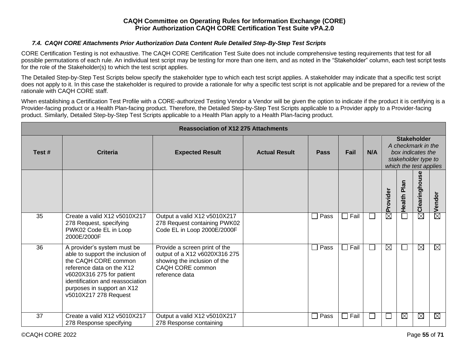## *7.4. CAQH CORE Attachments Prior Authorization Data Content Rule Detailed Step-By-Step Test Scripts*

<span id="page-54-0"></span>CORE Certification Testing is not exhaustive. The CAQH CORE Certification Test Suite does not include comprehensive testing requirements that test for all possible permutations of each rule. An individual test script may be testing for more than one item, and as noted in the "Stakeholder" column, each test script tests for the role of the Stakeholder(s) to which the test script applies.

The Detailed Step-by-Step Test Scripts below specify the stakeholder type to which each test script applies. A stakeholder may indicate that a specific test script does not apply to it. In this case the stakeholder is required to provide a rationale for why a specific test script is not applicable and be prepared for a review of the rationale with CAQH CORE staff.

When establishing a Certification Test Profile with a CORE-authorized Testing Vendor a Vendor will be given the option to indicate if the product it is certifying is a Provider-facing product or a Health Plan-facing product. Therefore, the Detailed Step-by-Step Test Scripts applicable to a Provider apply to a Provider-facing product. Similarly, Detailed Step-by-Step Test Scripts applicable to a Health Plan apply to a Health Plan-facing product.

|       |                                                                                                                                                                                                                                              | <b>Reassociation of X12 275 Attachments</b>                                                                                          |                      |                       |      |              |             |                                                                                                                |               |             |  |  |
|-------|----------------------------------------------------------------------------------------------------------------------------------------------------------------------------------------------------------------------------------------------|--------------------------------------------------------------------------------------------------------------------------------------|----------------------|-----------------------|------|--------------|-------------|----------------------------------------------------------------------------------------------------------------|---------------|-------------|--|--|
| Test# | <b>Criteria</b>                                                                                                                                                                                                                              | <b>Expected Result</b>                                                                                                               | <b>Actual Result</b> | <b>Pass</b>           | Fail | N/A          |             | <b>Stakeholder</b><br>A checkmark in the<br>box indicates the<br>stakeholder type to<br>which the test applies |               |             |  |  |
|       |                                                                                                                                                                                                                                              |                                                                                                                                      |                      |                       |      |              | Provider    | Health Plan                                                                                                    | Clearinghouse | Vendor      |  |  |
| 35    | Create a valid X12 v5010X217<br>278 Request, specifying<br>PWK02 Code EL in Loop<br>2000E/2000F                                                                                                                                              | Output a valid X12 v5010X217<br>278 Request containing PWK02<br>Code EL in Loop 2000E/2000F                                          |                      | Pass<br>$\mathsf{L}$  | Fail | $\mathbf{I}$ | $\boxtimes$ |                                                                                                                | $\boxtimes$   | $\boxtimes$ |  |  |
| 36    | A provider's system must be<br>able to support the inclusion of<br>the CAQH CORE common<br>reference data on the X12<br>v6020X316 275 for patient<br>identification and reassociation<br>purposes in support an X12<br>v5010X217 278 Request | Provide a screen print of the<br>output of a X12 v6020X316 275<br>showing the inclusion of the<br>CAQH CORE common<br>reference data |                      | Pass<br>$\mathcal{L}$ | Fail |              | $\boxtimes$ |                                                                                                                | $\boxtimes$   | $\boxtimes$ |  |  |
| 37    | Create a valid X12 v5010X217<br>278 Response specifying                                                                                                                                                                                      | Output a valid X12 v5010X217<br>278 Response containing                                                                              |                      | Pass<br>$\mathcal{L}$ | Fail |              |             | $\boxtimes$                                                                                                    | $\boxtimes$   | $\boxtimes$ |  |  |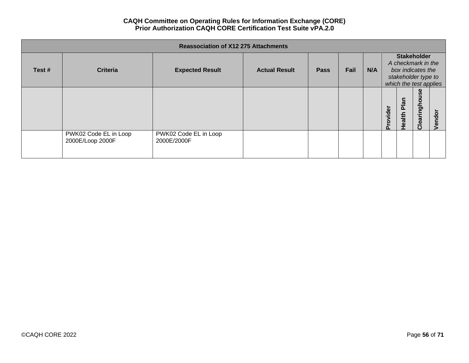|       |                                           | <b>Reassociation of X12 275 Attachments</b> |                      |             |      |     |          |                                                                                                                |               |        |
|-------|-------------------------------------------|---------------------------------------------|----------------------|-------------|------|-----|----------|----------------------------------------------------------------------------------------------------------------|---------------|--------|
| Test# | <b>Criteria</b>                           | <b>Expected Result</b>                      | <b>Actual Result</b> | <b>Pass</b> | Fail | N/A |          | <b>Stakeholder</b><br>A checkmark in the<br>box indicates the<br>stakeholder type to<br>which the test applies |               |        |
|       |                                           |                                             |                      |             |      |     | Provider | <b>Plan</b><br>Health                                                                                          | Clearinghouse | Vendor |
|       | PWK02 Code EL in Loop<br>2000E/Loop 2000F | PWK02 Code EL in Loop<br>2000E/2000F        |                      |             |      |     |          |                                                                                                                |               |        |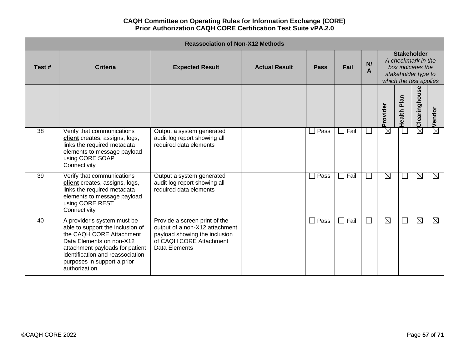|       |                                                                                                                                                                                                                                                 | <b>Reassociation of Non-X12 Methods</b>                                                                                                      |                      |             |                        |         |             |                  |                                                                                                                |                        |
|-------|-------------------------------------------------------------------------------------------------------------------------------------------------------------------------------------------------------------------------------------------------|----------------------------------------------------------------------------------------------------------------------------------------------|----------------------|-------------|------------------------|---------|-------------|------------------|----------------------------------------------------------------------------------------------------------------|------------------------|
| Test# | Criteria                                                                                                                                                                                                                                        | <b>Expected Result</b>                                                                                                                       | <b>Actual Result</b> | <b>Pass</b> | Fail                   | N/<br>A |             |                  | <b>Stakeholder</b><br>A checkmark in the<br>box indicates the<br>stakeholder type to<br>which the test applies |                        |
|       |                                                                                                                                                                                                                                                 |                                                                                                                                              |                      |             |                        |         | Provider    | Plan<br>Health I | Clearinghouse                                                                                                  | Vendor                 |
| 38    | Verify that communications<br>client creates, assigns, logs,<br>links the required metadata<br>elements to message payload<br>using CORE SOAP<br>Connectivity                                                                                   | Output a system generated<br>audit log report showing all<br>required data elements                                                          |                      | Pass        | $\overline{\Box}$ Fail | $\Box$  | $\boxtimes$ |                  | $\boxtimes$                                                                                                    | $\overline{\boxtimes}$ |
| 39    | Verify that communications<br>client creates, assigns, logs,<br>links the required metadata<br>elements to message payload<br>using CORE REST<br>Connectivity                                                                                   | Output a system generated<br>audit log report showing all<br>required data elements                                                          |                      | Pass        | $\Box$ Fail            | $\Box$  | $\boxtimes$ |                  | $\boxtimes$                                                                                                    | ⊠                      |
| 40    | A provider's system must be<br>able to support the inclusion of<br>the CAQH CORE Attachment<br>Data Elements on non-X12<br>attachment payloads for patient<br>identification and reassociation<br>purposes in support a prior<br>authorization. | Provide a screen print of the<br>output of a non-X12 attachment<br>payload showing the inclusion<br>of CAQH CORE Attachment<br>Data Elements |                      | Pass        | $\Box$ Fail            | $\Box$  | $\boxtimes$ |                  | $\boxtimes$                                                                                                    | ⊠                      |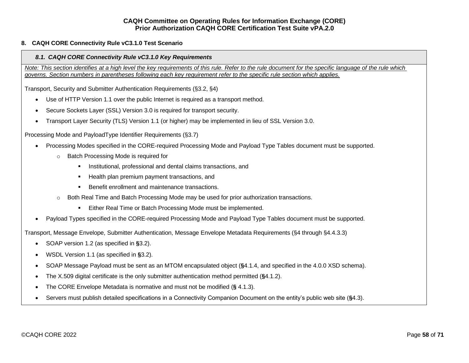## <span id="page-57-1"></span><span id="page-57-0"></span>**8. CAQH CORE Connectivity Rule vC3.1.0 Test Scenario**

## *8.1. CAQH CORE Connectivity Rule vC3.1.0 Key Requirements*

*Note: This section identifies at a high level the key requirements of this rule. Refer to the rule document for the specific language of the rule which governs. Section numbers in parentheses following each key requirement refer to the specific rule section which applies.*

Transport, Security and Submitter Authentication Requirements (§3.2, §4)

- Use of HTTP Version 1.1 over the public Internet is required as a transport method.
- Secure Sockets Layer (SSL) Version 3.0 is required for transport security.
- Transport Layer Security (TLS) Version 1.1 (or higher) may be implemented in lieu of SSL Version 3.0.

Processing Mode and PayloadType Identifier Requirements (§3.7)

- Processing Modes specified in the CORE-required Processing Mode and Payload Type Tables document must be supported.
	- o Batch Processing Mode is required for
		- Institutional, professional and dental claims transactions, and
		- Health plan premium payment transactions, and
		- Benefit enrollment and maintenance transactions.
	- o Both Real Time and Batch Processing Mode may be used for prior authorization transactions.
		- Either Real Time or Batch Processing Mode must be implemented.
- Payload Types specified in the CORE-required Processing Mode and Payload Type Tables document must be supported.

Transport, Message Envelope, Submitter Authentication, Message Envelope Metadata Requirements (§4 through §4.4.3.3)

- SOAP version 1.2 (as specified in **§**3.2).
- WSDL Version 1.1 (as specified in **§**3.2).
- SOAP Message Payload must be sent as an MTOM encapsulated object (**§**4.1.4, and specified in the 4.0.0 XSD schema).
- The X.509 digital certificate is the only submitter authentication method permitted (**§**4.1.2).
- The CORE Envelope Metadata is normative and must not be modified (**§** 4.1.3).
- Servers must publish detailed specifications in a Connectivity Companion Document on the entity's public web site (**§**4.3).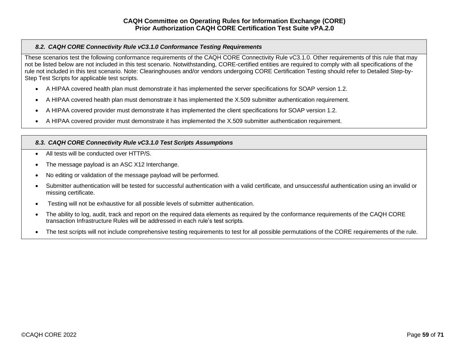## <span id="page-58-0"></span>*8.2. CAQH CORE Connectivity Rule vC3.1.0 Conformance Testing Requirements*

These scenarios test the following conformance requirements of the CAQH CORE Connectivity Rule vC3.1.0. Other requirements of this rule that may not be listed below are not included in this test scenario. Notwithstanding, CORE-certified entities are required to comply with all specifications of the rule not included in this test scenario. Note: Clearinghouses and/or vendors undergoing CORE Certification Testing should refer to Detailed Step-by-Step Test Scripts for applicable test scripts.

- A HIPAA covered health plan must demonstrate it has implemented the server specifications for SOAP version 1.2.
- A HIPAA covered health plan must demonstrate it has implemented the X.509 submitter authentication requirement.
- A HIPAA covered provider must demonstrate it has implemented the client specifications for SOAP version 1.2.
- A HIPAA covered provider must demonstrate it has implemented the X.509 submitter authentication requirement.

## <span id="page-58-1"></span>*8.3. CAQH CORE Connectivity Rule vC3.1.0 Test Scripts Assumptions*

- All tests will be conducted over HTTP/S.
- The message payload is an ASC X12 Interchange.
- No editing or validation of the message payload will be performed.
- Submitter authentication will be tested for successful authentication with a valid certificate, and unsuccessful authentication using an invalid or missing certificate.
- Testing will not be exhaustive for all possible levels of submitter authentication.
- The ability to log, audit, track and report on the required data elements as required by the conformance requirements of the CAQH CORE transaction Infrastructure Rules will be addressed in each rule's test scripts.
- The test scripts will not include comprehensive testing requirements to test for all possible permutations of the CORE requirements of the rule.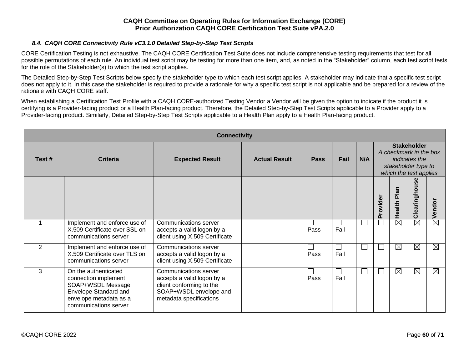## *8.4. CAQH CORE Connectivity Rule vC3.1.0 Detailed Step-by-Step Test Scripts*

<span id="page-59-0"></span>CORE Certification Testing is not exhaustive. The CAQH CORE Certification Test Suite does not include comprehensive testing requirements that test for all possible permutations of each rule. An individual test script may be testing for more than one item, and, as noted in the "Stakeholder" column, each test script tests for the role of the Stakeholder(s) to which the test script applies.

The Detailed Step-by-Step Test Scripts below specify the stakeholder type to which each test script applies. A stakeholder may indicate that a specific test script does not apply to it. In this case the stakeholder is required to provide a rationale for why a specific test script is not applicable and be prepared for a review of the rationale with CAQH CORE staff.

When establishing a Certification Test Profile with a CAQH CORE-authorized Testing Vendor a Vendor will be given the option to indicate if the product it is certifying is a Provider-facing product or a Health Plan-facing product. Therefore, the Detailed Step-by-Step Test Scripts applicable to a Provider apply to a Provider-facing product. Similarly, Detailed Step-by-Step Test Scripts applicable to a Health Plan apply to a Health Plan-facing product.

| <b>Connectivity</b> |                                                                                                                                               |                                                                                                                                      |                      |             |      |              |                                                                                                                       |                        |                        |                        |  |  |
|---------------------|-----------------------------------------------------------------------------------------------------------------------------------------------|--------------------------------------------------------------------------------------------------------------------------------------|----------------------|-------------|------|--------------|-----------------------------------------------------------------------------------------------------------------------|------------------------|------------------------|------------------------|--|--|
| Test #              | <b>Criteria</b>                                                                                                                               | <b>Expected Result</b>                                                                                                               | <b>Actual Result</b> | <b>Pass</b> | Fail | N/A          | <b>Stakeholder</b><br>A checkmark in the box<br><i>indicates the</i><br>stakeholder type to<br>which the test applies |                        |                        |                        |  |  |
|                     |                                                                                                                                               |                                                                                                                                      |                      |             |      |              | Provider                                                                                                              | Health Plan            | Clearinghouse          | Vendor                 |  |  |
|                     | Implement and enforce use of<br>X.509 Certificate over SSL on<br>communications server                                                        | Communications server<br>accepts a valid logon by a<br>client using X.509 Certificate                                                |                      | Pass        | Fail | $\mathsf{L}$ |                                                                                                                       | $\overline{\boxtimes}$ | $\overline{\boxtimes}$ | $\overline{\boxtimes}$ |  |  |
| $\overline{2}$      | Implement and enforce use of<br>X.509 Certificate over TLS on<br>communications server                                                        | Communications server<br>accepts a valid logon by a<br>client using X.509 Certificate                                                |                      | Pass        | Fail | $\perp$      | $\mathbf{I}$                                                                                                          | $\boxtimes$            | $\boxtimes$            | ⊠                      |  |  |
| 3                   | On the authenticated<br>connection implement<br>SOAP+WSDL Message<br>Envelope Standard and<br>envelope metadata as a<br>communications server | Communications server<br>accepts a valid logon by a<br>client conforming to the<br>SOAP+WSDL envelope and<br>metadata specifications |                      | Pass        | Fail | $\mathsf{L}$ | $\mathbf{I}$                                                                                                          | $\boxtimes$            | $\boxtimes$            | ⊠                      |  |  |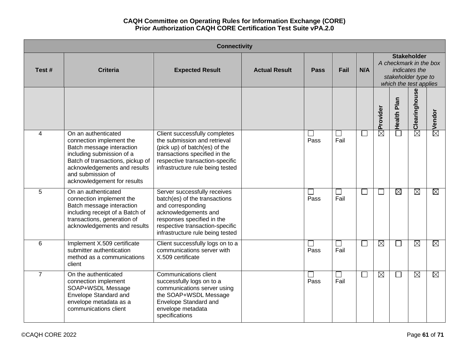|                |                                                                                                                                                                                                                                   | <b>Connectivity</b>                                                                                                                                                                                             |                      |                                  |                      |                          |                        |                                                                                                                |                        |                        |
|----------------|-----------------------------------------------------------------------------------------------------------------------------------------------------------------------------------------------------------------------------------|-----------------------------------------------------------------------------------------------------------------------------------------------------------------------------------------------------------------|----------------------|----------------------------------|----------------------|--------------------------|------------------------|----------------------------------------------------------------------------------------------------------------|------------------------|------------------------|
| Test#          | <b>Criteria</b>                                                                                                                                                                                                                   | <b>Expected Result</b>                                                                                                                                                                                          | <b>Actual Result</b> | <b>Pass</b>                      | Fail                 | N/A                      |                        | <b>Stakeholder</b><br>A checkmark in the box<br>indicates the<br>stakeholder type to<br>which the test applies |                        |                        |
|                |                                                                                                                                                                                                                                   |                                                                                                                                                                                                                 |                      |                                  |                      |                          | Provider               | <b>Health Plan</b>                                                                                             | Clearinghouse          | $\boxtimes$ Vendor     |
| $\overline{4}$ | On an authenticated<br>connection implement the<br>Batch message interaction<br>including submission of a<br>Batch of transactions, pickup of<br>acknowledgements and results<br>and submission of<br>acknowledgement for results | Client successfully completes<br>the submission and retrieval<br>(pick up) of batch(es) of the<br>transactions specified in the<br>respective transaction-specific<br>infrastructure rule being tested          |                      | Pass                             | $\Box$<br>Fail       | $\Box$                   | $\overline{\boxtimes}$ |                                                                                                                | $\bar{\boxtimes}$      |                        |
| 5              | On an authenticated<br>connection implement the<br>Batch message interaction<br>including receipt of a Batch of<br>transactions, generation of<br>acknowledgements and results                                                    | Server successfully receives<br>batch(es) of the transactions<br>and corresponding<br>acknowledgements and<br>responses specified in the<br>respective transaction-specific<br>infrastructure rule being tested |                      | $\overline{\phantom{a}}$<br>Pass | $\mathbf{I}$<br>Fail | $\overline{\phantom{a}}$ |                        | $\boxtimes$                                                                                                    | $\boxtimes$            | $\boxtimes$            |
| 6              | Implement X.509 certificate<br>submitter authentication<br>method as a communications<br>client                                                                                                                                   | Client successfully logs on to a<br>communications server with<br>X.509 certificate                                                                                                                             |                      | Pass                             | └<br>Fail            | $\Box$                   | $\boxtimes$            | $\Box$                                                                                                         | $\boxtimes$            | $\boxtimes$            |
| $\overline{7}$ | On the authenticated<br>connection implement<br>SOAP+WSDL Message<br>Envelope Standard and<br>envelope metadata as a<br>communications client                                                                                     | Communications client<br>successfully logs on to a<br>communications server using<br>the SOAP+WSDL Message<br>Envelope Standard and<br>envelope metadata<br>specifications                                      |                      | $\overline{\phantom{a}}$<br>Pass | $\mathbf{I}$<br>Fail | $\Box$                   | $\boxtimes$            | $\Box$                                                                                                         | $\overline{\boxtimes}$ | $\overline{\boxtimes}$ |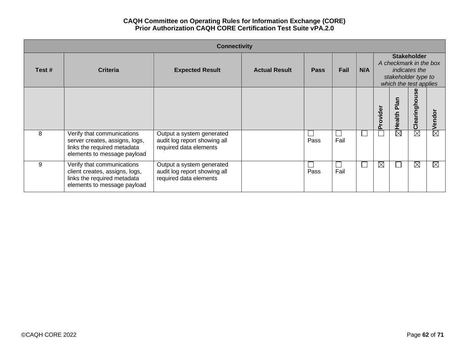| <b>Connectivity</b> |                                                                                                                            |                                                                                     |                      |             |                      |        |             |                                                                                                                |               |              |  |
|---------------------|----------------------------------------------------------------------------------------------------------------------------|-------------------------------------------------------------------------------------|----------------------|-------------|----------------------|--------|-------------|----------------------------------------------------------------------------------------------------------------|---------------|--------------|--|
| Test#               | <b>Criteria</b>                                                                                                            | <b>Expected Result</b>                                                              | <b>Actual Result</b> | <b>Pass</b> | Fail                 | N/A    |             | <b>Stakeholder</b><br>A checkmark in the box<br>indicates the<br>stakeholder type to<br>which the test applies |               |              |  |
|                     |                                                                                                                            |                                                                                     |                      |             |                      |        | ovider      | Plan<br>Health                                                                                                 | Clearinghouse | $\circ$<br>Ō |  |
| 8                   | Verify that communications<br>server creates, assigns, logs,<br>links the required metadata<br>elements to message payload | Output a system generated<br>audit log report showing all<br>required data elements |                      | Pass        | $\mathbf{I}$<br>Fail | $\Box$ |             | $\boxtimes$                                                                                                    | $\boxtimes$   | $\boxtimes$  |  |
| 9                   | Verify that communications<br>client creates, assigns, logs,<br>links the required metadata<br>elements to message payload | Output a system generated<br>audit log report showing all<br>required data elements |                      | Pass        | Fail                 | $\Box$ | $\boxtimes$ |                                                                                                                | $\boxtimes$   | ⊠            |  |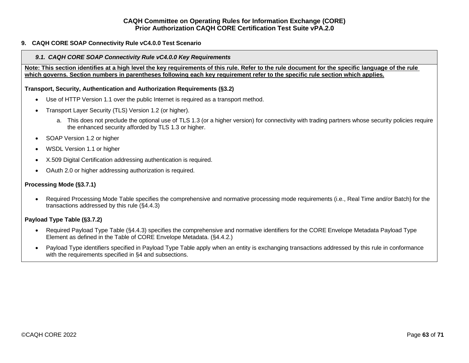## <span id="page-62-1"></span><span id="page-62-0"></span>**9. CAQH CORE SOAP Connectivity Rule vC4.0.0 Test Scenario**

#### *9.1. CAQH CORE SOAP Connectivity Rule vC4.0.0 Key Requirements*

**Note: This section identifies at a high level the key requirements of this rule. Refer to the rule document for the specific language of the rule which governs. Section numbers in parentheses following each key requirement refer to the specific rule section which applies.**

#### **Transport, Security, Authentication and Authorization Requirements (§3.2)**

- Use of HTTP Version 1.1 over the public Internet is required as a transport method.
- Transport Layer Security (TLS) Version 1.2 (or higher).
	- a. This does not preclude the optional use of TLS 1.3 (or a higher version) for connectivity with trading partners whose security policies require the enhanced security afforded by TLS 1.3 or higher.
- SOAP Version 1.2 or higher
- WSDL Version 1.1 or higher
- X.509 Digital Certification addressing authentication is required.
- OAuth 2.0 or higher addressing authorization is required.

#### **Processing Mode (§3.7.1)**

• Required Processing Mode Table specifies the comprehensive and normative processing mode requirements (i.e., Real Time and/or Batch) for the transactions addressed by this rule (§4.4.3)

#### **Payload Type Table (§3.7.2)**

- Required Payload Type Table (§4.4.3) specifies the comprehensive and normative identifiers for the CORE Envelope Metadata Payload Type Element as defined in the Table of CORE Envelope Metadata. (§4.4.2.)
- Payload Type identifiers specified in Payload Type Table apply when an entity is exchanging transactions addressed by this rule in conformance with the requirements specified in §4 and subsections.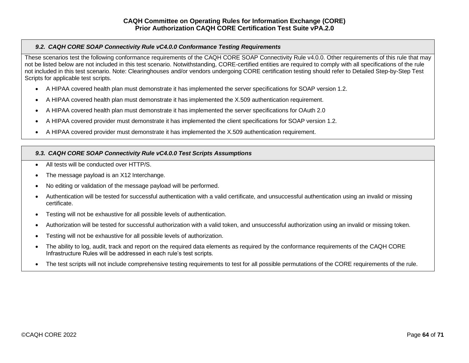## <span id="page-63-0"></span>*9.2. CAQH CORE SOAP Connectivity Rule vC4.0.0 Conformance Testing Requirements*

These scenarios test the following conformance requirements of the CAQH CORE SOAP Connectivity Rule v4.0.0. Other requirements of this rule that may not be listed below are not included in this test scenario. Notwithstanding, CORE-certified entities are required to comply with all specifications of the rule not included in this test scenario. Note: Clearinghouses and/or vendors undergoing CORE certification testing should refer to Detailed Step-by-Step Test Scripts for applicable test scripts.

- A HIPAA covered health plan must demonstrate it has implemented the server specifications for SOAP version 1.2.
- A HIPAA covered health plan must demonstrate it has implemented the X.509 authentication requirement.
- A HIPAA covered health plan must demonstrate it has implemented the server specifications for OAuth 2.0
- A HIPAA covered provider must demonstrate it has implemented the client specifications for SOAP version 1.2.
- A HIPAA covered provider must demonstrate it has implemented the X.509 authentication requirement.

## <span id="page-63-1"></span>*9.3. CAQH CORE SOAP Connectivity Rule vC4.0.0 Test Scripts Assumptions*

- All tests will be conducted over HTTP/S.
- The message payload is an X12 Interchange.
- No editing or validation of the message payload will be performed.
- Authentication will be tested for successful authentication with a valid certificate, and unsuccessful authentication using an invalid or missing certificate.
- Testing will not be exhaustive for all possible levels of authentication.
- Authorization will be tested for successful authorization with a valid token, and unsuccessful authorization using an invalid or missing token.
- Testing will not be exhaustive for all possible levels of authorization.
- The ability to log, audit, track and report on the required data elements as required by the conformance requirements of the CAQH CORE Infrastructure Rules will be addressed in each rule's test scripts.
- The test scripts will not include comprehensive testing requirements to test for all possible permutations of the CORE requirements of the rule.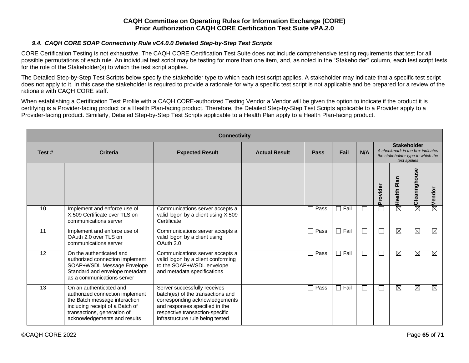## *9.4. CAQH CORE SOAP Connectivity Rule vC4.0.0 Detailed Step-by-Step Test Scripts*

<span id="page-64-0"></span>CORE Certification Testing is not exhaustive. The CAQH CORE Certification Test Suite does not include comprehensive testing requirements that test for all possible permutations of each rule. An individual test script may be testing for more than one item, and, as noted in the "Stakeholder" column, each test script tests for the role of the Stakeholder(s) to which the test script applies.

The Detailed Step-by-Step Test Scripts below specify the stakeholder type to which each test script applies. A stakeholder may indicate that a specific test script does not apply to it. In this case the stakeholder is required to provide a rationale for why a specific test script is not applicable and be prepared for a review of the rationale with CAQH CORE staff.

When establishing a Certification Test Profile with a CAQH CORE-authorized Testing Vendor a Vendor will be given the option to indicate if the product it is certifying is a Provider-facing product or a Health Plan-facing product. Therefore, the Detailed Step-by-Step Test Scripts applicable to a Provider apply to a Provider-facing product. Similarly, Detailed Step-by-Step Test Scripts applicable to a Health Plan apply to a Health Plan-facing product.

|       | <b>Connectivity</b>                                                                                                                                                                           |                                                                                                                                                                                                              |                      |             |             |              |                                                                                                             |                        |               |                        |  |  |  |
|-------|-----------------------------------------------------------------------------------------------------------------------------------------------------------------------------------------------|--------------------------------------------------------------------------------------------------------------------------------------------------------------------------------------------------------------|----------------------|-------------|-------------|--------------|-------------------------------------------------------------------------------------------------------------|------------------------|---------------|------------------------|--|--|--|
| Test# | <b>Criteria</b>                                                                                                                                                                               | <b>Expected Result</b>                                                                                                                                                                                       | <b>Actual Result</b> | <b>Pass</b> | Fail        | N/A          | <b>Stakeholder</b><br>A checkmark in the box indicates<br>the stakeholder type to which the<br>test applies |                        |               |                        |  |  |  |
|       |                                                                                                                                                                                               |                                                                                                                                                                                                              |                      |             |             |              | Provider                                                                                                    | Health Plan            | Clearinghouse | Vendor                 |  |  |  |
| 10    | Implement and enforce use of<br>X.509 Certificate over TLS on<br>communications server                                                                                                        | Communications server accepts a<br>valid logon by a client using X.509<br>Certificate                                                                                                                        |                      | $\Box$ Pass | $\Box$ Fail | $\mathbf{L}$ |                                                                                                             | $\overline{\boxtimes}$ | $\boxtimes$   | $\overline{\boxtimes}$ |  |  |  |
| 11    | Implement and enforce use of<br>OAuth 2.0 over TLS on<br>communications server                                                                                                                | Communications server accepts a<br>valid logon by a client using<br>OAuth 2.0                                                                                                                                |                      | $\Box$ Pass | $\Box$ Fail |              |                                                                                                             | M                      | M             | $\boxtimes$            |  |  |  |
| 12    | On the authenticated and<br>authorized connection implement<br>SOAP+WSDL Message Envelope<br>Standard and envelope metadata<br>as a communications server                                     | Communications server accepts a<br>valid logon by a client conforming<br>to the SOAP+WSDL envelope<br>and metadata specifications                                                                            |                      | $\Box$ Pass | $\Box$ Fail |              |                                                                                                             | M                      | $\boxtimes$   | $\overline{\boxtimes}$ |  |  |  |
| 13    | On an authenticated and<br>authorized connection implement<br>the Batch message interaction<br>including receipt of a Batch of<br>transactions, generation of<br>acknowledgements and results | Server successfully receives<br>batch(es) of the transactions and<br>corresponding acknowledgements<br>and responses specified in the<br>respective transaction-specific<br>infrastructure rule being tested |                      | $\Box$ Pass | $\Box$ Fail | L            |                                                                                                             | Ø                      | $\boxtimes$   | ⊠                      |  |  |  |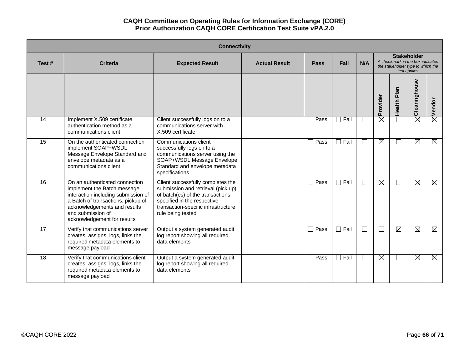| <b>Connectivity</b> |                                                                                                                                                                                                                                |                                                                                                                                                                                                        |                      |             |             |        |                                                                                                             |             |               |             |  |  |
|---------------------|--------------------------------------------------------------------------------------------------------------------------------------------------------------------------------------------------------------------------------|--------------------------------------------------------------------------------------------------------------------------------------------------------------------------------------------------------|----------------------|-------------|-------------|--------|-------------------------------------------------------------------------------------------------------------|-------------|---------------|-------------|--|--|
| Test#               | <b>Criteria</b>                                                                                                                                                                                                                | <b>Expected Result</b>                                                                                                                                                                                 | <b>Actual Result</b> | <b>Pass</b> | Fail        | N/A    | <b>Stakeholder</b><br>A checkmark in the box indicates<br>the stakeholder type to which the<br>test applies |             |               |             |  |  |
|                     |                                                                                                                                                                                                                                |                                                                                                                                                                                                        |                      |             |             |        | Provider                                                                                                    | Health Plan | Clearinghouse | Vendor      |  |  |
| 14                  | Implement X.509 certificate<br>authentication method as a<br>communications client                                                                                                                                             | Client successfully logs on to a<br>communications server with<br>X.509 certificate                                                                                                                    |                      | $\Box$ Pass | $\Box$ Fail | $\Box$ | $\overline{\boxtimes}$                                                                                      | $\Box$      | $\boxtimes$   | 囟           |  |  |
| 15                  | On the authenticated connection<br>implement SOAP+WSDL<br>Message Envelope Standard and<br>envelope metadata as a<br>communications client                                                                                     | Communications client<br>successfully logs on to a<br>communications server using the<br>SOAP+WSDL Message Envelope<br>Standard and envelope metadata<br>specifications                                |                      | $\Box$ Pass | $\Box$ Fail | $\Box$ | Ø                                                                                                           | $\Box$      | $\boxtimes$   | $\boxtimes$ |  |  |
| 16                  | On an authenticated connection<br>implement the Batch message<br>interaction including submission of<br>a Batch of transactions, pickup of<br>acknowledgements and results<br>and submission of<br>acknowledgement for results | Client successfully completes the<br>submission and retrieval (pick up)<br>of batch(es) of the transactions<br>specified in the respective<br>transaction-specific infrastructure<br>rule being tested |                      | $\Box$ Pass | $\Box$ Fail | $\Box$ | M                                                                                                           | $\Box$      | $\boxtimes$   | ⊠           |  |  |
| 17                  | Verify that communications server<br>creates, assigns, logs, links the<br>required metadata elements to<br>message payload                                                                                                     | Output a system generated audit<br>log report showing all required<br>data elements                                                                                                                    |                      | $\Box$ Pass | $\Box$ Fail | $\Box$ | ⊏                                                                                                           | $\boxtimes$ | $\boxtimes$   | $\boxtimes$ |  |  |
| $\overline{18}$     | Verify that communications client<br>creates, assigns, logs, links the<br>required metadata elements to<br>message payload                                                                                                     | Output a system generated audit<br>log report showing all required<br>data elements                                                                                                                    |                      | $\Box$ Pass | $\Box$ Fail | $\Box$ | $\boxtimes$                                                                                                 | $\Box$      | $\boxtimes$   | ⊠           |  |  |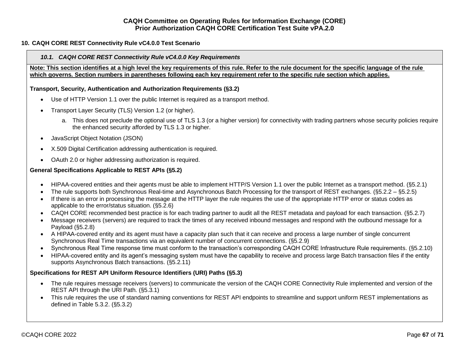## <span id="page-66-0"></span>**10. CAQH CORE REST Connectivity Rule vC4.0.0 Test Scenario**

#### <span id="page-66-1"></span>*10.1. CAQH CORE REST Connectivity Rule vC4.0.0 Key Requirements*

**Note: This section identifies at a high level the key requirements of this rule. Refer to the rule document for the specific language of the rule which governs. Section numbers in parentheses following each key requirement refer to the specific rule section which applies.**

#### **Transport, Security, Authentication and Authorization Requirements (§3.2)**

- Use of HTTP Version 1.1 over the public Internet is required as a transport method.
- Transport Layer Security (TLS) Version 1.2 (or higher).
	- a. This does not preclude the optional use of TLS 1.3 (or a higher version) for connectivity with trading partners whose security policies require the enhanced security afforded by TLS 1.3 or higher.
- JavaScript Object Notation (JSON)
- X.509 Digital Certification addressing authentication is required.
- OAuth 2.0 or higher addressing authorization is required.

#### **General Specifications Applicable to REST APIs (§5.2)**

- HIPAA-covered entities and their agents must be able to implement HTTP/S Version 1.1 over the public Internet as a transport method. (§5.2.1)
- The rule supports both Synchronous Real-time and Asynchronous Batch Processing for the transport of REST exchanges. (§5.2.2 §5.2.5)
- If there is an error in processing the message at the HTTP layer the rule requires the use of the appropriate HTTP error or status codes as applicable to the error/status situation. (§5.2.6)
- CAQH CORE recommended best practice is for each trading partner to audit all the REST metadata and payload for each transaction. (§5.2.7)
- Message receivers (servers) are required to track the times of any received inbound messages and respond with the outbound message for a Payload (§5.2.8)
- A HIPAA-covered entity and its agent must have a capacity plan such that it can receive and process a large number of single concurrent Synchronous Real Time transactions via an equivalent number of concurrent connections. (§5.2.9)
- Synchronous Real Time response time must conform to the transaction's corresponding CAQH CORE Infrastructure Rule requirements. (§5.2.10)
- HIPAA-covered entity and its agent's messaging system must have the capability to receive and process large Batch transaction files if the entity supports Asynchronous Batch transactions. (§5.2.11)

#### **Specifications for REST API Uniform Resource Identifiers (URI) Paths (§5.3)**

- The rule requires message receivers (servers) to communicate the version of the CAQH CORE Connectivity Rule implemented and version of the REST API through the URI Path. (§5.3.1)
- This rule requires the use of standard naming conventions for REST API endpoints to streamline and support uniform REST implementations as defined in Table 5.3.2. (§5.3.2)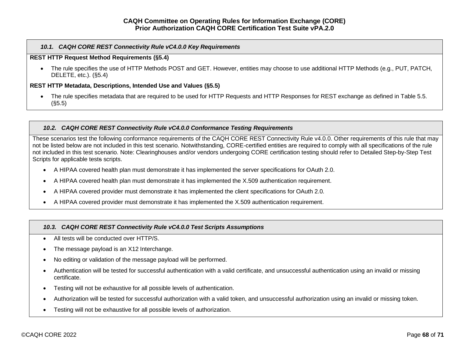## *10.1. CAQH CORE REST Connectivity Rule vC4.0.0 Key Requirements*

## **REST HTTP Request Method Requirements (§5.4)**

• The rule specifies the use of HTTP Methods POST and GET. However, entities may choose to use additional HTTP Methods (e.g., PUT, PATCH, DELETE, etc.). (§5.4)

### **REST HTTP Metadata, Descriptions, Intended Use and Values (§5.5)**

• The rule specifies metadata that are required to be used for HTTP Requests and HTTP Responses for REST exchange as defined in Table 5.5. (§5.5)

## <span id="page-67-0"></span>*10.2. CAQH CORE REST Connectivity Rule vC4.0.0 Conformance Testing Requirements*

These scenarios test the following conformance requirements of the CAQH CORE REST Connectivity Rule v4.0.0. Other requirements of this rule that may not be listed below are not included in this test scenario. Notwithstanding, CORE-certified entities are required to comply with all specifications of the rule not included in this test scenario. Note: Clearinghouses and/or vendors undergoing CORE certification testing should refer to Detailed Step-by-Step Test Scripts for applicable tests scripts.

- A HIPAA covered health plan must demonstrate it has implemented the server specifications for OAuth 2.0.
- A HIPAA covered health plan must demonstrate it has implemented the X.509 authentication requirement.
- A HIPAA covered provider must demonstrate it has implemented the client specifications for OAuth 2.0.
- A HIPAA covered provider must demonstrate it has implemented the X.509 authentication requirement.

## <span id="page-67-1"></span>*10.3. CAQH CORE REST Connectivity Rule vC4.0.0 Test Scripts Assumptions*

- All tests will be conducted over HTTP/S.
- The message payload is an X12 Interchange.
- No editing or validation of the message payload will be performed.
- Authentication will be tested for successful authentication with a valid certificate, and unsuccessful authentication using an invalid or missing certificate.
- Testing will not be exhaustive for all possible levels of authentication.
- Authorization will be tested for successful authorization with a valid token, and unsuccessful authorization using an invalid or missing token.
- Testing will not be exhaustive for all possible levels of authorization.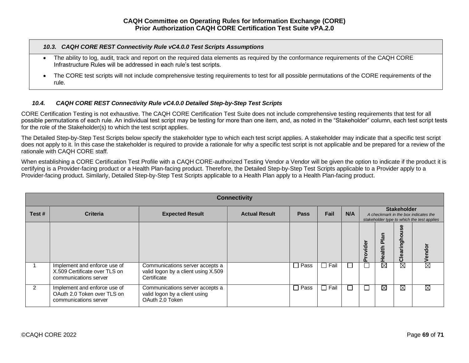#### *10.3. CAQH CORE REST Connectivity Rule vC4.0.0 Test Scripts Assumptions*

- The ability to log, audit, track and report on the required data elements as required by the conformance requirements of the CAQH CORE Infrastructure Rules will be addressed in each rule's test scripts.
- The CORE test scripts will not include comprehensive testing requirements to test for all possible permutations of the CORE requirements of the rule.

# *10.4. CAQH CORE REST Connectivity Rule vC4.0.0 Detailed Step-by-Step Test Scripts*

<span id="page-68-0"></span>CORE Certification Testing is not exhaustive. The CAQH CORE Certification Test Suite does not include comprehensive testing requirements that test for all possible permutations of each rule. An individual test script may be testing for more than one item, and, as noted in the "Stakeholder" column, each test script tests for the role of the Stakeholder(s) to which the test script applies.

The Detailed Step-by-Step Test Scripts below specify the stakeholder type to which each test script applies. A stakeholder may indicate that a specific test script does not apply to it. In this case the stakeholder is required to provide a rationale for why a specific test script is not applicable and be prepared for a review of the rationale with CAQH CORE staff.

When establishing a CORE Certification Test Profile with a CAQH CORE-authorized Testing Vendor a Vendor will be given the option to indicate if the product it is certifying is a Provider-facing product or a Health Plan-facing product. Therefore, the Detailed Step-by-Step Test Scripts applicable to a Provider apply to a Provider-facing product. Similarly, Detailed Step-by-Step Test Scripts applicable to a Health Plan apply to a Health Plan-facing product.

|               | <b>Connectivity</b>                                                                    |                                                                                       |                      |             |             |        |       |                                                                                                          |                  |                        |  |
|---------------|----------------------------------------------------------------------------------------|---------------------------------------------------------------------------------------|----------------------|-------------|-------------|--------|-------|----------------------------------------------------------------------------------------------------------|------------------|------------------------|--|
| Test#         | <b>Criteria</b>                                                                        | <b>Expected Result</b>                                                                | <b>Actual Result</b> | <b>Pass</b> | Fail        | N/A    |       | <b>Stakeholder</b><br>A checkmark in the box indicates the<br>stakeholder type to which the test applies |                  |                        |  |
|               |                                                                                        |                                                                                       |                      |             |             |        | vider | 을<br>ealth                                                                                               | ಠಾ<br>$\epsilon$ | Vendor                 |  |
|               | Implement and enforce use of<br>X.509 Certificate over TLS on<br>communications server | Communications server accepts a<br>valid logon by a client using X.509<br>Certificate |                      | $\Box$ Pass | $\Box$ Fail | $\Box$ |       | $\boxtimes$                                                                                              | $\boxtimes$      | $\overline{\boxtimes}$ |  |
| $\mathcal{P}$ | Implement and enforce use of<br>OAuth 2.0 Token over TLS on<br>communications server   | Communications server accepts a<br>valid logon by a client using<br>OAuth 2.0 Token   |                      | $\Box$ Pass | $\Box$ Fail | $\Box$ |       | $\boxtimes$                                                                                              | $\boxtimes$      | $\boxtimes$            |  |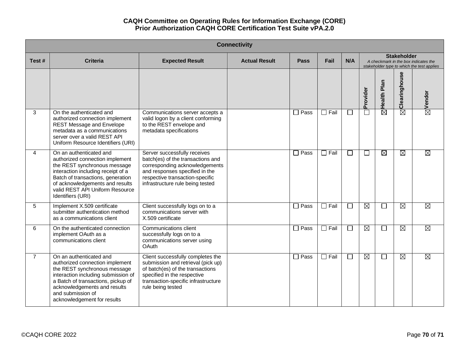| <b>Connectivity</b> |                                                                                                                                                                                                                                                                  |                                                                                                                                                                                                              |                      |                        |             |                             |                        |                        |                    |                                                                                    |  |
|---------------------|------------------------------------------------------------------------------------------------------------------------------------------------------------------------------------------------------------------------------------------------------------------|--------------------------------------------------------------------------------------------------------------------------------------------------------------------------------------------------------------|----------------------|------------------------|-------------|-----------------------------|------------------------|------------------------|--------------------|------------------------------------------------------------------------------------|--|
| Test#               | <b>Criteria</b>                                                                                                                                                                                                                                                  | <b>Expected Result</b>                                                                                                                                                                                       | <b>Actual Result</b> | <b>Pass</b>            | Fail        | N/A                         |                        |                        | <b>Stakeholder</b> | A checkmark in the box indicates the<br>stakeholder type to which the test applies |  |
|                     |                                                                                                                                                                                                                                                                  |                                                                                                                                                                                                              |                      |                        |             |                             | Provider               | Health Plan            | Clearinghouse      | $\boxtimes$ Vendor                                                                 |  |
| 3                   | On the authenticated and<br>authorized connection implement<br><b>REST Message and Envelope</b><br>metadata as a communications<br>server over a valid REST API<br>Uniform Resource Identifiers (URI)                                                            | Communications server accepts a<br>valid logon by a client conforming<br>to the REST envelope and<br>metadata specifications                                                                                 |                      | $\Box$ Pass            | $\Box$ Fail | $\mathcal{L}_{\mathcal{A}}$ | $\Box$                 | $\overline{\boxtimes}$ | $\boxtimes$        |                                                                                    |  |
| 4                   | On an authenticated and<br>authorized connection implement<br>the REST synchronous message<br>interaction including receipt of a<br>Batch of transactions, generation<br>of acknowledgements and results<br>valid REST API Uniform Resource<br>Identifiers (URI) | Server successfully receives<br>batch(es) of the transactions and<br>corresponding acknowledgements<br>and responses specified in the<br>respective transaction-specific<br>infrastructure rule being tested |                      | $\square$ Pass         | $\Box$ Fail | $\overline{\phantom{a}}$    | $\Box$                 | $\boxtimes$            | Ø                  | $\boxtimes$                                                                        |  |
| 5                   | Implement X.509 certificate<br>submitter authentication method<br>as a communications client                                                                                                                                                                     | Client successfully logs on to a<br>communications server with<br>X.509 certificate                                                                                                                          |                      | $\Box$ Pass            | $\Box$ Fail | $\Box$                      | M                      | $\Box$                 | M                  | ⊠                                                                                  |  |
| 6                   | On the authenticated connection<br>implement OAuth as a<br>communications client                                                                                                                                                                                 | Communications client<br>successfully logs on to a<br>communications server using<br><b>OAuth</b>                                                                                                            |                      | $\Box$ Pass            | $\Box$ Fail | $\mathcal{L}_{\mathcal{A}}$ | $\overline{\boxtimes}$ | $\Box$                 | M                  | ⊠                                                                                  |  |
| $\overline{7}$      | On an authenticated and<br>authorized connection implement<br>the REST synchronous message<br>interaction including submission of<br>a Batch of transactions, pickup of<br>acknowledgements and results<br>and submission of<br>acknowledgement for results      | Client successfully completes the<br>submission and retrieval (pick up)<br>of batch(es) of the transactions<br>specified in the respective<br>transaction-specific infrastructure<br>rule being tested       |                      | $\overline{\Box}$ Pass | $\Box$ Fail | $\Box$                      | $\boxtimes$            | $\Box$                 | $\boxtimes$        | $\overline{\boxtimes}$                                                             |  |